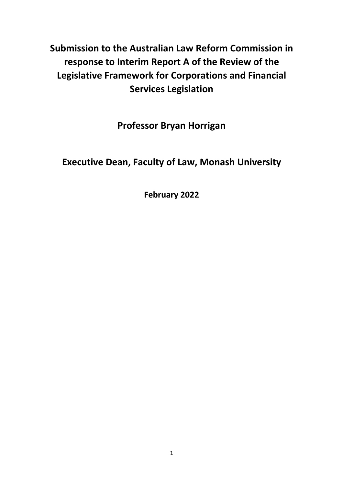**Submission to the Australian Law Reform Commission in response to Interim Report A of the Review of the Legislative Framework for Corporations and Financial Services Legislation**

**Professor Bryan Horrigan**

**Executive Dean, Faculty of Law, Monash University**

**February 2022**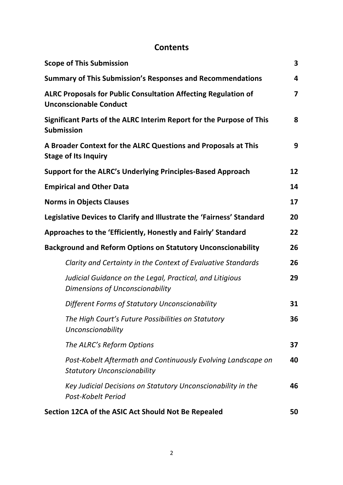# **Contents**

| <b>Scope of This Submission</b>                                                                    | 3                       |
|----------------------------------------------------------------------------------------------------|-------------------------|
| <b>Summary of This Submission's Responses and Recommendations</b>                                  | 4                       |
| ALRC Proposals for Public Consultation Affecting Regulation of<br><b>Unconscionable Conduct</b>    | $\overline{\mathbf{z}}$ |
| Significant Parts of the ALRC Interim Report for the Purpose of This<br><b>Submission</b>          | 8                       |
| A Broader Context for the ALRC Questions and Proposals at This<br><b>Stage of Its Inquiry</b>      | 9                       |
| Support for the ALRC's Underlying Principles-Based Approach                                        | 12                      |
| <b>Empirical and Other Data</b>                                                                    | 14                      |
| <b>Norms in Objects Clauses</b>                                                                    | 17                      |
| Legislative Devices to Clarify and Illustrate the 'Fairness' Standard                              | 20                      |
| Approaches to the 'Efficiently, Honestly and Fairly' Standard                                      | 22                      |
| <b>Background and Reform Options on Statutory Unconscionability</b>                                | 26                      |
| Clarity and Certainty in the Context of Evaluative Standards                                       | 26                      |
| Judicial Guidance on the Legal, Practical, and Litigious<br>Dimensions of Unconscionability        | 29                      |
| Different Forms of Statutory Unconscionability                                                     | 31                      |
| The High Court's Future Possibilities on Statutory<br>Unconscionability                            | 36                      |
| The ALRC's Reform Options                                                                          | 37                      |
| Post-Kobelt Aftermath and Continuously Evolving Landscape on<br><b>Statutory Unconscionability</b> | 40                      |
| Key Judicial Decisions on Statutory Unconscionability in the<br>Post-Kobelt Period                 | 46                      |
| Section 12CA of the ASIC Act Should Not Be Repealed                                                | 50                      |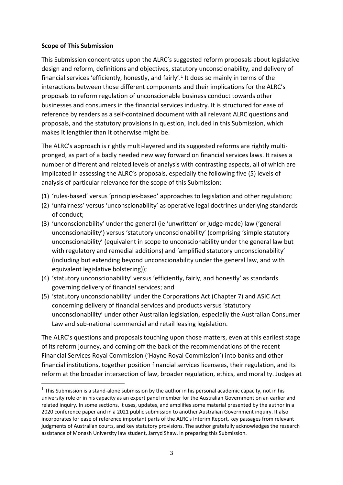## **Scope of This Submission**

This Submission concentrates upon the ALRC's suggested reform proposals about legislative design and reform, definitions and objectives, statutory unconscionability, and delivery of financial services 'efficiently, honestly, and fairly'.<sup>1</sup> It does so mainly in terms of the interactions between those different components and their implications for the ALRC's proposals to reform regulation of unconscionable business conduct towards other businesses and consumers in the financial services industry. It is structured for ease of reference by readers as a self-contained document with all relevant ALRC questions and proposals, and the statutory provisions in question, included in this Submission, which makes it lengthier than it otherwise might be.

The ALRC's approach is rightly multi-layered and its suggested reforms are rightly multipronged, as part of a badly needed new way forward on financial services laws. It raises a number of different and related levels of analysis with contrasting aspects, all of which are implicated in assessing the ALRC's proposals, especially the following five (5) levels of analysis of particular relevance for the scope of this Submission:

- (1) 'rules-based' versus 'principles-based' approaches to legislation and other regulation;
- (2) 'unfairness' versus 'unconscionability' as operative legal doctrines underlying standards of conduct;
- (3) 'unconscionability' under the general (ie 'unwritten' or judge-made) law ('general unconscionability') versus 'statutory unconscionability' (comprising 'simple statutory unconscionability' (equivalent in scope to unconscionability under the general law but with regulatory and remedial additions) and 'amplified statutory unconscionability' (including but extending beyond unconscionability under the general law, and with equivalent legislative bolstering));
- (4) 'statutory unconscionability' versus 'efficiently, fairly, and honestly' as standards governing delivery of financial services; and
- (5) 'statutory unconscionability' under the Corporations Act (Chapter 7) and ASIC Act concerning delivery of financial services and products versus 'statutory unconscionability' under other Australian legislation, especially the Australian Consumer Law and sub-national commercial and retail leasing legislation.

The ALRC's questions and proposals touching upon those matters, even at this earliest stage of its reform journey, and coming off the back of the recommendations of the recent Financial Services Royal Commission ('Hayne Royal Commission') into banks and other financial institutions, together position financial services licensees, their regulation, and its reform at the broader intersection of law, broader regulation, ethics, and morality. Judges at

 $<sup>1</sup>$  This Submission is a stand-alone submission by the author in his personal academic capacity, not in his</sup> university role or in his capacity as an expert panel member for the Australian Government on an earlier and related inquiry. In some sections, it uses, updates, and amplifies some material presented by the author in a 2020 conference paper and in a 2021 public submission to another Australian Government inquiry. It also incorporates for ease of reference important parts of the ALRC's Interim Report, key passages from relevant judgments of Australian courts, and key statutory provisions. The author gratefully acknowledges the research assistance of Monash University law student, Jarryd Shaw, in preparing this Submission.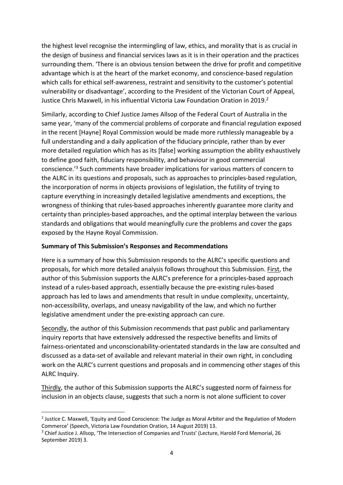the highest level recognise the intermingling of law, ethics, and morality that is as crucial in the design of business and financial services laws as it is in their operation and the practices surrounding them. 'There is an obvious tension between the drive for profit and competitive advantage which is at the heart of the market economy, and conscience-based regulation which calls for ethical self-awareness, restraint and sensitivity to the customer's potential vulnerability or disadvantage', according to the President of the Victorian Court of Appeal, Justice Chris Maxwell, in his influential Victoria Law Foundation Oration in 2019.<sup>2</sup>

Similarly, according to Chief Justice James Allsop of the Federal Court of Australia in the same year, 'many of the commercial problems of corporate and financial regulation exposed in the recent [Hayne] Royal Commission would be made more ruthlessly manageable by a full understanding and a daily application of the fiduciary principle, rather than by ever more detailed regulation which has as its [false] working assumption the ability exhaustively to define good faith, fiduciary responsibility, and behaviour in good commercial conscience.'3 Such comments have broader implications for various matters of concern to the ALRC in its questions and proposals, such as approaches to principles-based regulation, the incorporation of norms in objects provisions of legislation, the futility of trying to capture everything in increasingly detailed legislative amendments and exceptions, the wrongness of thinking that rules-based approaches inherently guarantee more clarity and certainty than principles-based approaches, and the optimal interplay between the various standards and obligations that would meaningfully cure the problems and cover the gaps exposed by the Hayne Royal Commission.

## **Summary of This Submission's Responses and Recommendations**

Here is a summary of how this Submission responds to the ALRC's specific questions and proposals, for which more detailed analysis follows throughout this Submission. First, the author of this Submission supports the ALRC's preference for a principles-based approach instead of a rules-based approach, essentially because the pre-existing rules-based approach has led to laws and amendments that result in undue complexity, uncertainty, non-accessibility, overlaps, and uneasy navigability of the law, and which no further legislative amendment under the pre-existing approach can cure.

Secondly, the author of this Submission recommends that past public and parliamentary inquiry reports that have extensively addressed the respective benefits and limits of fairness-orientated and unconscionability-orientated standards in the law are consulted and discussed as a data-set of available and relevant material in their own right, in concluding work on the ALRC's current questions and proposals and in commencing other stages of this ALRC Inquiry.

Thirdly, the author of this Submission supports the ALRC's suggested norm of fairness for inclusion in an objects clause, suggests that such a norm is not alone sufficient to cover

<sup>&</sup>lt;sup>2</sup> Justice C. Maxwell, 'Equity and Good Conscience: The Judge as Moral Arbiter and the Regulation of Modern Commerce' (Speech, Victoria Law Foundation Oration, 14 August 2019) 13.

<sup>&</sup>lt;sup>3</sup> Chief Justice J. Allsop, 'The Intersection of Companies and Trusts' (Lecture, Harold Ford Memorial, 26 September 2019) 3.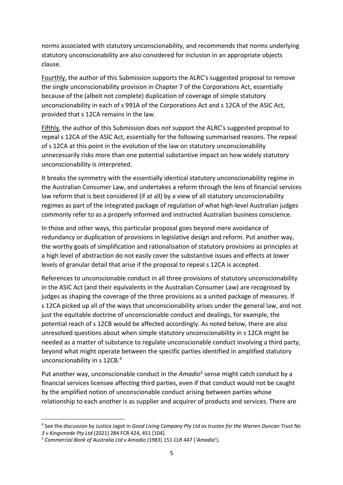norms associated with statutory unconscionability, and recommends that norms underlying statutory unconscionability are also considered for inclusion in an appropriate objects clause.

Fourthly, the author of this Submission supports the ALRC's suggested proposal to remove the single unconscionability provision in Chapter 7 of the Corporations Act, essentially because of the (albeit not complete) duplication of coverage of simple statutory unconscionability in each of s 991A of the Corporations Act and s 12CA of the ASIC Act, provided that s 12CA remains in the law.

Fifthly, the author of this Submission does *not* support the ALRC's suggested proposal to repeal s 12CA of the ASIC Act, essentially for the following summarised reasons. The repeal of s 12CA at this point in the evolution of the law on statutory unconscionability unnecessarily risks more than one potential substantive impact on how widely statutory unconscionability is interpreted.

It breaks the symmetry with the essentially identical statutory unconscionability regime in the Australian Consumer Law, and undertakes a reform through the lens of financial services law reform that is best considered (if at all) by a view of all statutory unconscionability regimes as part of the integrated package of regulation of what high-level Australian judges commonly refer to as a properly informed and instructed Australian business conscience.

In those and other ways, this particular proposal goes beyond mere avoidance of redundancy or duplication of provisions in legislative design and reform. Put another way, the worthy goals of simplification and rationalisation of statutory provisions as principles at a high level of abstraction do not easily cover the substantive issues and effects at lower levels of granular detail that arise if the proposal to repeal s 12CA is accepted.

References to unconscionable conduct in all three provisions of statutory unconscionability in the ASIC Act (and their equivalents in the Australian Consumer Law) are recognised by judges as shaping the coverage of the three provisions as a united package of measures. If s 12CA picked up all of the ways that unconscionability arises under the general law, and not just the equitable doctrine of unconscionable conduct and dealings, for example, the potential reach of s 12CB would be affected accordingly. As noted below, there are also unresolved questions about when simple statutory unconscionability in s 12CA might be needed as a matter of substance to regulate unconscionable conduct involving a third party, beyond what might operate between the specific parties identified in amplified statutory unconscionability in s 12CB.<sup>4</sup>

Put another way, unconscionable conduct in the *Amadio5* sense might catch conduct by a financial services licensee affecting third parties, even if that conduct would not be caught by the amplified notion of unconscionable conduct arising between parties whose relationship to each another is as supplier and acquirer of products and services. There are

<sup>4</sup> See the discussion by Justice Jagot in *Good Living Company Pty Ltd as trustee for the Warren Duncan Trust No 3 v Kingsmede Pty Ltd* (2021) 284 FCR 424, 451 [104].

<sup>5</sup> *Commercial Bank of Australia Ltd v Amadio* (1983) 151 CLR 447 ('*Amadio*').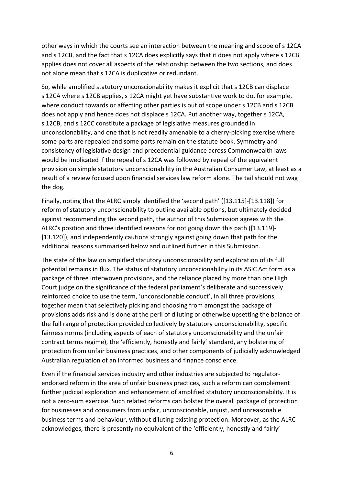other ways in which the courts see an interaction between the meaning and scope of s 12CA and s 12CB, and the fact that s 12CA does explicitly says that it does not apply where s 12CB applies does not cover all aspects of the relationship between the two sections, and does not alone mean that s 12CA is duplicative or redundant.

So, while amplified statutory unconscionability makes it explicit that s 12CB can displace s 12CA where s 12CB applies, s 12CA might yet have substantive work to do, for example, where conduct towards or affecting other parties is out of scope under s 12CB and s 12CB does not apply and hence does not displace s 12CA. Put another way, together s 12CA, s 12CB, and s 12CC constitute a package of legislative measures grounded in unconscionability, and one that is not readily amenable to a cherry-picking exercise where some parts are repealed and some parts remain on the statute book. Symmetry and consistency of legislative design and precedential guidance across Commonwealth laws would be implicated if the repeal of s 12CA was followed by repeal of the equivalent provision on simple statutory unconscionability in the Australian Consumer Law, at least as a result of a review focused upon financial services law reform alone. The tail should not wag the dog.

Finally, noting that the ALRC simply identified the 'second path' ([13.115]-[13.118]) for reform of statutory unconscionability to outline available options, but ultimately decided against recommending the second path, the author of this Submission agrees with the ALRC's position and three identified reasons for not going down this path ([13.119]- [13.120]), and independently cautions strongly against going down that path for the additional reasons summarised below and outlined further in this Submission.

The state of the law on amplified statutory unconscionability and exploration of its full potential remains in flux. The status of statutory unconscionability in its ASIC Act form as a package of three interwoven provisions, and the reliance placed by more than one High Court judge on the significance of the federal parliament's deliberate and successively reinforced choice to use the term, 'unconscionable conduct', in all three provisions, together mean that selectively picking and choosing from amongst the package of provisions adds risk and is done at the peril of diluting or otherwise upsetting the balance of the full range of protection provided collectively by statutory unconscionability, specific fairness norms (including aspects of each of statutory unconscionability and the unfair contract terms regime), the 'efficiently, honestly and fairly' standard, any bolstering of protection from unfair business practices, and other components of judicially acknowledged Australian regulation of an informed business and finance conscience.

Even if the financial services industry and other industries are subjected to regulatorendorsed reform in the area of unfair business practices, such a reform can complement further judicial exploration and enhancement of amplified statutory unconscionability. It is not a zero-sum exercise. Such related reforms can bolster the overall package of protection for businesses and consumers from unfair, unconscionable, unjust, and unreasonable business terms and behaviour, without diluting existing protection. Moreover, as the ALRC acknowledges, there is presently no equivalent of the 'efficiently, honestly and fairly'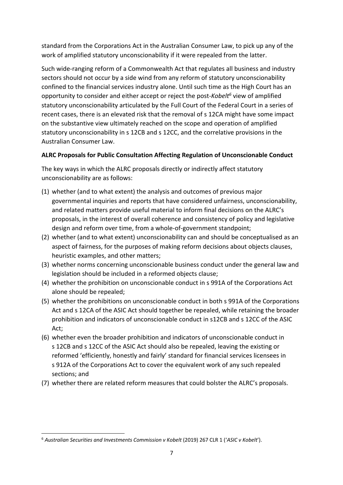standard from the Corporations Act in the Australian Consumer Law, to pick up any of the work of amplified statutory unconscionability if it were repealed from the latter.

Such wide-ranging reform of a Commonwealth Act that regulates all business and industry sectors should not occur by a side wind from any reform of statutory unconscionability confined to the financial services industry alone. Until such time as the High Court has an opportunity to consider and either accept or reject the post-*Kobelt6* view of amplified statutory unconscionability articulated by the Full Court of the Federal Court in a series of recent cases, there is an elevated risk that the removal of s 12CA might have some impact on the substantive view ultimately reached on the scope and operation of amplified statutory unconscionability in s 12CB and s 12CC, and the correlative provisions in the Australian Consumer Law.

## **ALRC Proposals for Public Consultation Affecting Regulation of Unconscionable Conduct**

The key ways in which the ALRC proposals directly or indirectly affect statutory unconscionability are as follows:

- (1) whether (and to what extent) the analysis and outcomes of previous major governmental inquiries and reports that have considered unfairness, unconscionability, and related matters provide useful material to inform final decisions on the ALRC's proposals, in the interest of overall coherence and consistency of policy and legislative design and reform over time, from a whole-of-government standpoint;
- (2) whether (and to what extent) unconscionability can and should be conceptualised as an aspect of fairness, for the purposes of making reform decisions about objects clauses, heuristic examples, and other matters;
- (3) whether norms concerning unconscionable business conduct under the general law and legislation should be included in a reformed objects clause;
- (4) whether the prohibition on unconscionable conduct in s 991A of the Corporations Act alone should be repealed;
- (5) whether the prohibitions on unconscionable conduct in both s 991A of the Corporations Act and s 12CA of the ASIC Act should together be repealed, while retaining the broader prohibition and indicators of unconscionable conduct in s12CB and s 12CC of the ASIC Act;
- (6) whether even the broader prohibition and indicators of unconscionable conduct in s 12CB and s 12CC of the ASIC Act should also be repealed, leaving the existing or reformed 'efficiently, honestly and fairly' standard for financial services licensees in s 912A of the Corporations Act to cover the equivalent work of any such repealed sections; and
- (7) whether there are related reform measures that could bolster the ALRC's proposals.

<sup>6</sup> *Australian Securities and Investments Commission v Kobelt* (2019) 267 CLR 1 ('*ASIC v Kobelt*').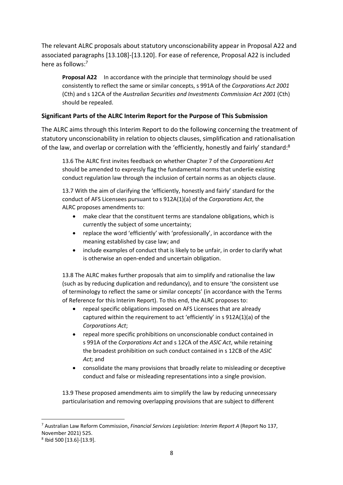The relevant ALRC proposals about statutory unconscionability appear in Proposal A22 and associated paragraphs [13.108]-[13.120]. For ease of reference, Proposal A22 is included here as follows:7

**Proposal A22** In accordance with the principle that terminology should be used consistently to reflect the same or similar concepts, s 991A of the *Corporations Act 2001*  (Cth) and s 12CA of the *Australian Securities and Investments Commission Act 2001* (Cth) should be repealed.

## **Significant Parts of the ALRC Interim Report for the Purpose of This Submission**

The ALRC aims through this Interim Report to do the following concerning the treatment of statutory unconscionability in relation to objects clauses, simplification and rationalisation of the law, and overlap or correlation with the 'efficiently, honestly and fairly' standard:<sup>8</sup>

13.6 The ALRC first invites feedback on whether Chapter 7 of the *Corporations Act* should be amended to expressly flag the fundamental norms that underlie existing conduct regulation law through the inclusion of certain norms as an objects clause.

13.7 With the aim of clarifying the 'efficiently, honestly and fairly' standard for the conduct of AFS Licensees pursuant to s 912A(1)(a) of the *Corporations Act*, the ALRC proposes amendments to:

- make clear that the constituent terms are standalone obligations, which is currently the subject of some uncertainty;
- replace the word 'efficiently' with 'professionally', in accordance with the meaning established by case law; and
- include examples of conduct that is likely to be unfair, in order to clarify what is otherwise an open-ended and uncertain obligation.

13.8 The ALRC makes further proposals that aim to simplify and rationalise the law (such as by reducing duplication and redundancy), and to ensure 'the consistent use of terminology to reflect the same or similar concepts' (in accordance with the Terms of Reference for this Interim Report). To this end, the ALRC proposes to:

- repeal specific obligations imposed on AFS Licensees that are already captured within the requirement to act 'efficiently' in s 912A(1)(a) of the *Corporations Act*;
- repeal more specific prohibitions on unconscionable conduct contained in s 991A of the *Corporations Act* and s 12CA of the *ASIC Act*, while retaining the broadest prohibition on such conduct contained in s 12CB of the *ASIC Act*; and
- consolidate the many provisions that broadly relate to misleading or deceptive conduct and false or misleading representations into a single provision.

13.9 These proposed amendments aim to simplify the law by reducing unnecessary particularisation and removing overlapping provisions that are subject to different

<sup>7</sup> Australian Law Reform Commission, *Financial Services Legislation: Interim Report A* (Report No 137, November 2021) 525.

<sup>8</sup> Ibid 500 [13.6]-[13.9].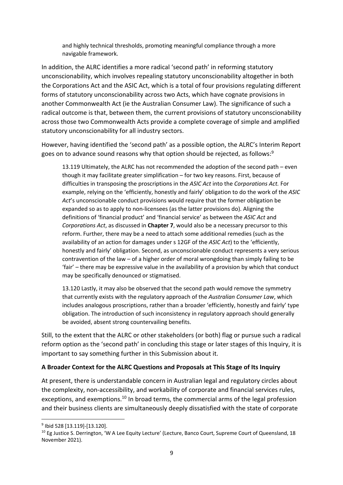and highly technical thresholds, promoting meaningful compliance through a more navigable framework.

In addition, the ALRC identifies a more radical 'second path' in reforming statutory unconscionability, which involves repealing statutory unconscionability altogether in both the Corporations Act and the ASIC Act, which is a total of four provisions regulating different forms of statutory unconscionability across two Acts, which have cognate provisions in another Commonwealth Act (ie the Australian Consumer Law). The significance of such a radical outcome is that, between them, the current provisions of statutory unconscionability across those two Commonwealth Acts provide a complete coverage of simple and amplified statutory unconscionability for all industry sectors.

However, having identified the 'second path' as a possible option, the ALRC's Interim Report goes on to advance sound reasons why that option should be rejected, as follows:9

13.119 Ultimately, the ALRC has not recommended the adoption of the second path – even though it may facilitate greater simplification – for two key reasons. First, because of difficulties in transposing the proscriptions in the *ASIC Act* into the *Corporations Act.* For example, relying on the 'efficiently, honestly and fairly' obligation to do the work of the *ASIC Act*'s unconscionable conduct provisions would require that the former obligation be expanded so as to apply to non-licensees (as the latter provisions do). Aligning the definitions of 'financial product' and 'financial service' as between the *ASIC Act* and *Corporations Act*, as discussed in **Chapter 7**, would also be a necessary precursor to this reform. Further, there may be a need to attach some additional remedies (such as the availability of an action for damages under s 12GF of the *ASIC Act*) to the 'efficiently, honestly and fairly' obligation. Second, as unconscionable conduct represents a very serious contravention of the law – of a higher order of moral wrongdoing than simply failing to be 'fair' – there may be expressive value in the availability of a provision by which that conduct may be specifically denounced or stigmatised.

13.120 Lastly, it may also be observed that the second path would remove the symmetry that currently exists with the regulatory approach of the *Australian Consumer Law*, which includes analogous proscriptions, rather than a broader 'efficiently, honestly and fairly' type obligation. The introduction of such inconsistency in regulatory approach should generally be avoided, absent strong countervailing benefits.

Still, to the extent that the ALRC or other stakeholders (or both) flag or pursue such a radical reform option as the 'second path' in concluding this stage or later stages of this Inquiry, it is important to say something further in this Submission about it.

## **A Broader Context for the ALRC Questions and Proposals at This Stage of Its Inquiry**

At present, there is understandable concern in Australian legal and regulatory circles about the complexity, non-accessibility, and workability of corporate and financial services rules, exceptions, and exemptions.<sup>10</sup> In broad terms, the commercial arms of the legal profession and their business clients are simultaneously deeply dissatisfied with the state of corporate

<sup>9</sup> Ibid 528 [13.119]-[13.120].

<sup>&</sup>lt;sup>10</sup> Eg Justice S. Derrington, 'W A Lee Equity Lecture' (Lecture, Banco Court, Supreme Court of Queensland, 18 November 2021).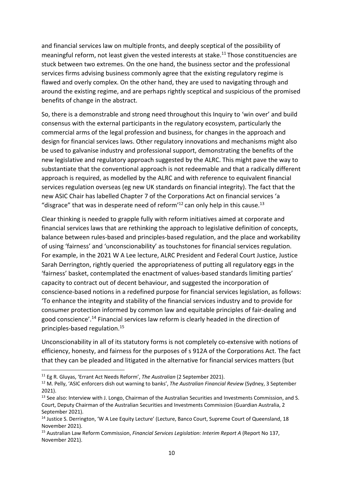and financial services law on multiple fronts, and deeply sceptical of the possibility of meaningful reform, not least given the vested interests at stake.<sup>11</sup> Those constituencies are stuck between two extremes. On the one hand, the business sector and the professional services firms advising business commonly agree that the existing regulatory regime is flawed and overly complex. On the other hand, they are used to navigating through and around the existing regime, and are perhaps rightly sceptical and suspicious of the promised benefits of change in the abstract.

So, there is a demonstrable and strong need throughout this Inquiry to 'win over' and build consensus with the external participants in the regulatory ecosystem, particularly the commercial arms of the legal profession and business, for changes in the approach and design for financial services laws. Other regulatory innovations and mechanisms might also be used to galvanise industry and professional support, demonstrating the benefits of the new legislative and regulatory approach suggested by the ALRC. This might pave the way to substantiate that the conventional approach is not redeemable and that a radically different approach is required, as modelled by the ALRC and with reference to equivalent financial services regulation overseas (eg new UK standards on financial integrity). The fact that the new ASIC Chair has labelled Chapter 7 of the Corporations Act on financial services 'a "disgrace" that was in desperate need of reform<sup>'12</sup> can only help in this cause.<sup>13</sup>

Clear thinking is needed to grapple fully with reform initiatives aimed at corporate and financial services laws that are rethinking the approach to legislative definition of concepts, balance between rules-based and principles-based regulation, and the place and workability of using 'fairness' and 'unconscionability' as touchstones for financial services regulation. For example, in the 2021 W A Lee lecture, ALRC President and Federal Court Justice, Justice Sarah Derrington, rightly queried the appropriateness of putting all regulatory eggs in the 'fairness' basket, contemplated the enactment of values-based standards limiting parties' capacity to contract out of decent behaviour, and suggested the incorporation of conscience-based notions in a redefined purpose for financial services legislation, as follows: 'To enhance the integrity and stability of the financial services industry and to provide for consumer protection informed by common law and equitable principles of fair-dealing and good conscience'.14 Financial services law reform is clearly headed in the direction of principles-based regulation.15

Unconscionability in all of its statutory forms is not completely co-extensive with notions of efficiency, honesty, and fairness for the purposes of s 912A of the Corporations Act. The fact that they can be pleaded and litigated in the alternative for financial services matters (but

<sup>11</sup> Eg R. Gluyas, 'Errant Act Needs Reform', *The Australian* (2 September 2021).

<sup>12</sup> M. Pelly, 'ASIC enforcers dish out warning to banks', *The Australian Financial Review* (Sydney, 3 September 2021).

<sup>&</sup>lt;sup>13</sup> See also: Interview with J. Longo, Chairman of the Australian Securities and Investments Commission, and S. Court, Deputy Chairman of the Australian Securities and Investments Commission (Guardian Australia, 2 September 2021).

<sup>&</sup>lt;sup>14</sup> Justice S. Derrington, 'W A Lee Equity Lecture' (Lecture, Banco Court, Supreme Court of Queensland, 18 November 2021).

<sup>15</sup> Australian Law Reform Commission, *Financial Services Legislation: Interim Report A* (Report No 137, November 2021).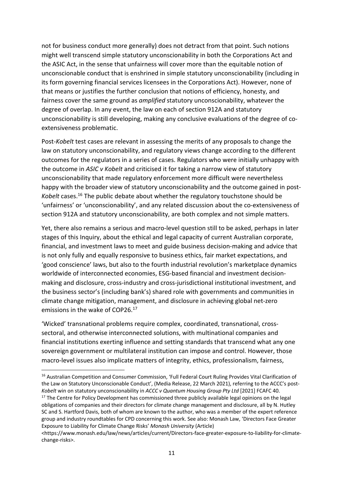not for business conduct more generally) does not detract from that point. Such notions might well transcend simple statutory unconscionability in both the Corporations Act and the ASIC Act, in the sense that unfairness will cover more than the equitable notion of unconscionable conduct that is enshrined in simple statutory unconscionability (including in its form governing financial services licensees in the Corporations Act). However, none of that means or justifies the further conclusion that notions of efficiency, honesty, and fairness cover the same ground as *amplified* statutory unconscionability, whatever the degree of overlap. In any event, the law on each of section 912A and statutory unconscionability is still developing, making any conclusive evaluations of the degree of coextensiveness problematic.

Post-*Kobelt* test cases are relevant in assessing the merits of any proposals to change the law on statutory unconscionability, and regulatory views change according to the different outcomes for the regulators in a series of cases. Regulators who were initially unhappy with the outcome in *ASIC v Kobelt* and criticised it for taking a narrow view of statutory unconscionability that made regulatory enforcement more difficult were nevertheless happy with the broader view of statutory unconscionability and the outcome gained in post-*Kobelt* cases.16 The public debate about whether the regulatory touchstone should be 'unfairness' or 'unconscionability', and any related discussion about the co-extensiveness of section 912A and statutory unconscionability, are both complex and not simple matters.

Yet, there also remains a serious and macro-level question still to be asked, perhaps in later stages of this Inquiry, about the ethical and legal capacity of current Australian corporate, financial, and investment laws to meet and guide business decision-making and advice that is not only fully and equally responsive to business ethics, fair market expectations, and 'good conscience' laws, but also to the fourth industrial revolution's marketplace dynamics worldwide of interconnected economies, ESG-based financial and investment decisionmaking and disclosure, cross-industry and cross-jurisdictional institutional investment, and the business sector's (including bank's) shared role with governments and communities in climate change mitigation, management, and disclosure in achieving global net-zero emissions in the wake of COP26.<sup>17</sup>

'Wicked' transnational problems require complex, coordinated, transnational, crosssectoral, and otherwise interconnected solutions, with multinational companies and financial institutions exerting influence and setting standards that transcend what any one sovereign government or multilateral institution can impose and control. However, those macro-level issues also implicate matters of integrity, ethics, professionalism, fairness,

<sup>17</sup> The Centre for Policy Development has commissioned three publicly available legal opinions on the legal obligations of companies and their directors for climate change management and disclosure, all by N. Hutley SC and S. Hartford Davis, both of whom are known to the author, who was a member of the expert reference group and industry roundtables for CPD concerning this work. See also: Monash Law, 'Directors Face Greater Exposure to Liability for Climate Change Risks' *Monash University* (Article)

<sup>&</sup>lt;sup>16</sup> Australian Competition and Consumer Commission, 'Full Federal Court Ruling Provides Vital Clarification of the Law on Statutory Unconscionable Conduct', (Media Release, 22 March 2021), referring to the ACCC's post-*Kobelt* win on statutory unconscionability in *ACCC v Quantum Housing Group Pty Ltd* [2021] FCAFC 40.

<sup>&</sup>lt;https://www.monash.edu/law/news/articles/current/Directors-face-greater-exposure-to-liability-for-climatechange-risks>.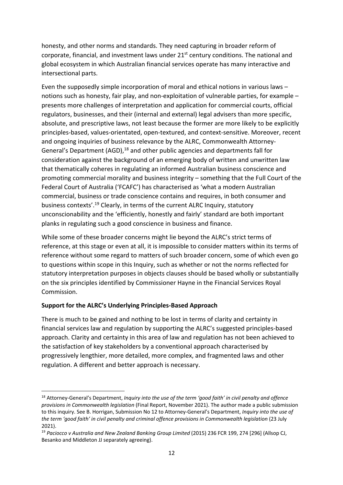honesty, and other norms and standards. They need capturing in broader reform of corporate, financial, and investment laws under 21<sup>st</sup> century conditions. The national and global ecosystem in which Australian financial services operate has many interactive and intersectional parts.

Even the supposedly simple incorporation of moral and ethical notions in various laws – notions such as honesty, fair play, and non-exploitation of vulnerable parties, for example – presents more challenges of interpretation and application for commercial courts, official regulators, businesses, and their (internal and external) legal advisers than more specific, absolute, and prescriptive laws, not least because the former are more likely to be explicitly principles-based, values-orientated, open-textured, and context-sensitive. Moreover, recent and ongoing inquiries of business relevance by the ALRC, Commonwealth Attorney-General's Department (AGD), $^{18}$  and other public agencies and departments fall for consideration against the background of an emerging body of written and unwritten law that thematically coheres in regulating an informed Australian business conscience and promoting commercial morality and business integrity – something that the Full Court of the Federal Court of Australia ('FCAFC') has characterised as 'what a modern Australian commercial, business or trade conscience contains and requires, in both consumer and business contexts'.19 Clearly, in terms of the current ALRC Inquiry, statutory unconscionability and the 'efficiently, honestly and fairly' standard are both important planks in regulating such a good conscience in business and finance.

While some of these broader concerns might lie beyond the ALRC's strict terms of reference, at this stage or even at all, it is impossible to consider matters within its terms of reference without some regard to matters of such broader concern, some of which even go to questions within scope in this Inquiry, such as whether or not the norms reflected for statutory interpretation purposes in objects clauses should be based wholly or substantially on the six principles identified by Commissioner Hayne in the Financial Services Royal Commission.

## **Support for the ALRC's Underlying Principles-Based Approach**

There is much to be gained and nothing to be lost in terms of clarity and certainty in financial services law and regulation by supporting the ALRC's suggested principles-based approach. Clarity and certainty in this area of law and regulation has not been achieved to the satisfaction of key stakeholders by a conventional approach characterised by progressively lengthier, more detailed, more complex, and fragmented laws and other regulation. A different and better approach is necessary.

<sup>18</sup> Attorney-General's Department, *Inquiry into the use of the term 'good faith' in civil penalty and offence provisions in Commonwealth legislation* (Final Report, November 2021). The author made a public submission to this inquiry. See B. Horrigan, Submission No 12 to Attorney-General's Department, *Inquiry into the use of the term 'good faith' in civil penalty and criminal offence provisions in Commonwealth legislation* (23 July 2021).

<sup>19</sup> *Paciocco v Australia and New Zealand Banking Group Limited* (2015) 236 FCR 199, 274 [296] (Allsop CJ, Besanko and Middleton JJ separately agreeing).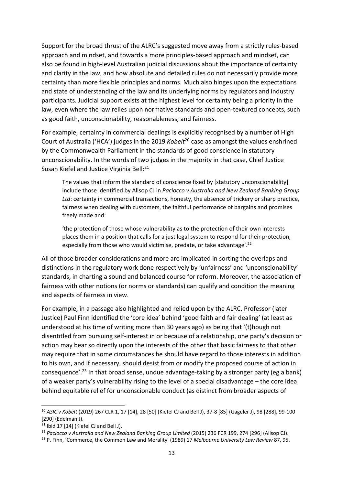Support for the broad thrust of the ALRC's suggested move away from a strictly rules-based approach and mindset, and towards a more principles-based approach and mindset, can also be found in high-level Australian judicial discussions about the importance of certainty and clarity in the law, and how absolute and detailed rules do not necessarily provide more certainty than more flexible principles and norms. Much also hinges upon the expectations and state of understanding of the law and its underlying norms by regulators and industry participants. Judicial support exists at the highest level for certainty being a priority in the law, even where the law relies upon normative standards and open-textured concepts, such as good faith, unconscionability, reasonableness, and fairness.

For example, certainty in commercial dealings is explicitly recognised by a number of High Court of Australia ('HCA') judges in the 2019 *Kobelt*<sup>20</sup> case as amongst the values enshrined by the Commonwealth Parliament in the standards of good conscience in statutory unconscionability. In the words of two judges in the majority in that case, Chief Justice Susan Kiefel and Justice Virginia Bell:<sup>21</sup>

The values that inform the standard of conscience fixed by [statutory unconscionability] include those identified by Allsop CJ in *Paciocco v Australia and New Zealand Banking Group Ltd*: certainty in commercial transactions, honesty, the absence of trickery or sharp practice, fairness when dealing with customers, the faithful performance of bargains and promises freely made and:

'the protection of those whose vulnerability as to the protection of their own interests places them in a position that calls for a just legal system to respond for their protection, especially from those who would victimise, predate, or take advantage'.<sup>22</sup>

All of those broader considerations and more are implicated in sorting the overlaps and distinctions in the regulatory work done respectively by 'unfairness' and 'unconscionability' standards, in charting a sound and balanced course for reform. Moreover, the association of fairness with other notions (or norms or standards) can qualify and condition the meaning and aspects of fairness in view.

For example, in a passage also highlighted and relied upon by the ALRC, Professor (later Justice) Paul Finn identified the 'core idea' behind 'good faith and fair dealing' (at least as understood at his time of writing more than 30 years ago) as being that '(t)hough not disentitled from pursuing self-interest in or because of a relationship, one party's decision or action may bear so directly upon the interests of the other that basic fairness to that other may require that in some circumstances he should have regard to those interests in addition to his own, and if necessary, should desist from or modify the proposed course of action in consequence'.23 In that broad sense, undue advantage-taking by a stronger party (eg a bank) of a weaker party's vulnerability rising to the level of a special disadvantage – the core idea behind equitable relief for unconscionable conduct (as distinct from broader aspects of

<sup>20</sup> *ASIC v Kobelt* (2019) 267 CLR 1, 17 [14], 28 [50] (Kiefel CJ and Bell J), 37-8 [85] (Gageler J), 98 [288], 99-100 [290] (Edelman J).

 $21$  Ibid 17 [14] (Kiefel CJ and Bell J).

<sup>22</sup> *Paciocco v Australia and New Zealand Banking Group Limited* (2015) 236 FCR 199, 274 [296] (Allsop CJ).

<sup>23</sup> P. Finn, 'Commerce, the Common Law and Morality' (1989) 17 *Melbourne University Law Review* 87, 95.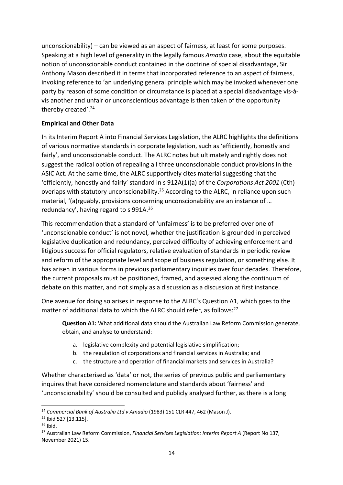unconscionability) – can be viewed as an aspect of fairness, at least for some purposes. Speaking at a high level of generality in the legally famous *Amadio* case, about the equitable notion of unconscionable conduct contained in the doctrine of special disadvantage, Sir Anthony Mason described it in terms that incorporated reference to an aspect of fairness, invoking reference to 'an underlying general principle which may be invoked whenever one party by reason of some condition or circumstance is placed at a special disadvantage vis-àvis another and unfair or unconscientious advantage is then taken of the opportunity thereby created'.<sup>24</sup>

## **Empirical and Other Data**

In its Interim Report A into Financial Services Legislation, the ALRC highlights the definitions of various normative standards in corporate legislation, such as 'efficiently, honestly and fairly', and unconscionable conduct. The ALRC notes but ultimately and rightly does not suggest the radical option of repealing all three unconscionable conduct provisions in the ASIC Act. At the same time, the ALRC supportively cites material suggesting that the 'efficiently, honestly and fairly' standard in s 912A(1)(a) of the *Corporations Act 2001* (Cth) overlaps with statutory unconscionability.<sup>25</sup> According to the ALRC, in reliance upon such material, '(a)rguably, provisions concerning unconscionability are an instance of … redundancy', having regard to s 991A.<sup>26</sup>

This recommendation that a standard of 'unfairness' is to be preferred over one of 'unconscionable conduct' is not novel, whether the justification is grounded in perceived legislative duplication and redundancy, perceived difficulty of achieving enforcement and litigious success for official regulators, relative evaluation of standards in periodic review and reform of the appropriate level and scope of business regulation, or something else. It has arisen in various forms in previous parliamentary inquiries over four decades. Therefore, the current proposals must be positioned, framed, and assessed along the continuum of debate on this matter, and not simply as a discussion as a discussion at first instance.

One avenue for doing so arises in response to the ALRC's Question A1, which goes to the matter of additional data to which the ALRC should refer, as follows:<sup>27</sup>

**Question A1:** What additional data should the Australian Law Reform Commission generate, obtain, and analyse to understand:

- a. legislative complexity and potential legislative simplification;
- b. the regulation of corporations and financial services in Australia; and
- c. the structure and operation of financial markets and services in Australia?

Whether characterised as 'data' or not, the series of previous public and parliamentary inquires that have considered nomenclature and standards about 'fairness' and 'unconscionability' should be consulted and publicly analysed further, as there is a long

<sup>24</sup> *Commercial Bank of Australia Ltd v Amadio* (1983) 151 CLR 447, 462 (Mason J).

<sup>25</sup> Ibid 527 [13.115].

 $26$  Ibid.

<sup>27</sup> Australian Law Reform Commission, *Financial Services Legislation: Interim Report A* (Report No 137, November 2021) 15.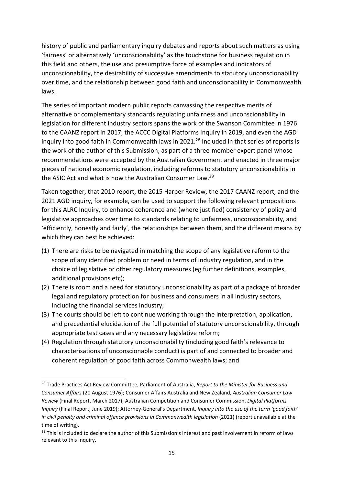history of public and parliamentary inquiry debates and reports about such matters as using 'fairness' or alternatively 'unconscionability' as the touchstone for business regulation in this field and others, the use and presumptive force of examples and indicators of unconscionability, the desirability of successive amendments to statutory unconscionability over time, and the relationship between good faith and unconscionability in Commonwealth laws.

The series of important modern public reports canvassing the respective merits of alternative or complementary standards regulating unfairness and unconscionability in legislation for different industry sectors spans the work of the Swanson Committee in 1976 to the CAANZ report in 2017, the ACCC Digital Platforms Inquiry in 2019, and even the AGD inquiry into good faith in Commonwealth laws in 2021.<sup>28</sup> Included in that series of reports is the work of the author of this Submission, as part of a three-member expert panel whose recommendations were accepted by the Australian Government and enacted in three major pieces of national economic regulation, including reforms to statutory unconscionability in the ASIC Act and what is now the Australian Consumer Law.29

Taken together, that 2010 report, the 2015 Harper Review, the 2017 CAANZ report, and the 2021 AGD inquiry, for example, can be used to support the following relevant propositions for this ALRC Inquiry, to enhance coherence and (where justified) consistency of policy and legislative approaches over time to standards relating to unfairness, unconscionability, and 'efficiently, honestly and fairly', the relationships between them, and the different means by which they can best be achieved:

- (1) There are risks to be navigated in matching the scope of any legislative reform to the scope of any identified problem or need in terms of industry regulation, and in the choice of legislative or other regulatory measures (eg further definitions, examples, additional provisions etc);
- (2) There is room and a need for statutory unconscionability as part of a package of broader legal and regulatory protection for business and consumers in all industry sectors, including the financial services industry;
- (3) The courts should be left to continue working through the interpretation, application, and precedential elucidation of the full potential of statutory unconscionability, through appropriate test cases and any necessary legislative reform;
- (4) Regulation through statutory unconscionability (including good faith's relevance to characterisations of unconscionable conduct) is part of and connected to broader and coherent regulation of good faith across Commonwealth laws; and

<sup>28</sup> Trade Practices Act Review Committee, Parliament of Australia, *Report to the Minister for Business and Consumer Affairs* (20 August 1976); Consumer Affairs Australia and New Zealand, *Australian Consumer Law Review* (Final Report, March 2017); Australian Competition and Consumer Commission, *Digital Platforms Inquiry* (Final Report, June 2019); Attorney-General's Department, *Inquiry into the use of the term 'good faith' in civil penalty and criminal offence provisions in Commonwealth legislation* (2021) (report unavailable at the time of writing).

<sup>&</sup>lt;sup>29</sup> This is included to declare the author of this Submission's interest and past involvement in reform of laws relevant to this Inquiry.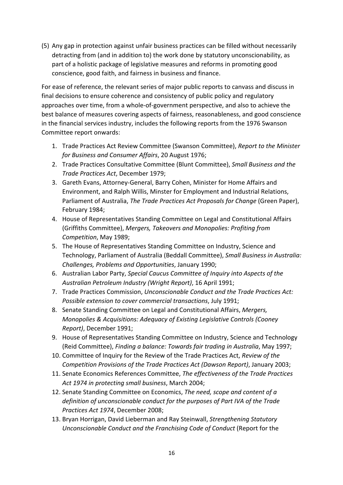(5) Any gap in protection against unfair business practices can be filled without necessarily detracting from (and in addition to) the work done by statutory unconscionability, as part of a holistic package of legislative measures and reforms in promoting good conscience, good faith, and fairness in business and finance.

For ease of reference, the relevant series of major public reports to canvass and discuss in final decisions to ensure coherence and consistency of public policy and regulatory approaches over time, from a whole-of-government perspective, and also to achieve the best balance of measures covering aspects of fairness, reasonableness, and good conscience in the financial services industry, includes the following reports from the 1976 Swanson Committee report onwards:

- 1. Trade Practices Act Review Committee (Swanson Committee), *Report to the Minister for Business and Consumer Affairs*, 20 August 1976;
- 2. Trade Practices Consultative Committee (Blunt Committee), *Small Business and the Trade Practices Act*, December 1979;
- 3. Gareth Evans, Attorney-General, Barry Cohen, Minister for Home Affairs and Environment, and Ralph Willis, Minster for Employment and Industrial Relations, Parliament of Australia, *The Trade Practices Act Proposals for Change* (Green Paper), February 1984;
- 4. House of Representatives Standing Committee on Legal and Constitutional Affairs (Griffiths Committee), *Mergers, Takeovers and Monopolies: Profiting from Competition*, May 1989;
- 5. The House of Representatives Standing Committee on Industry, Science and Technology, Parliament of Australia (Beddall Committee), *Small Business in Australia: Challenges, Problems and Opportunities*, January 1990;
- 6. Australian Labor Party, *Special Caucus Committee of Inquiry into Aspects of the Australian Petroleum Industry (Wright Report)*, 16 April 1991;
- 7. Trade Practices Commission, *Unconscionable Conduct and the Trade Practices Act: Possible extension to cover commercial transactions*, July 1991;
- 8. Senate Standing Committee on Legal and Constitutional Affairs, *Mergers, Monopolies & Acquisitions: Adequacy of Existing Legislative Controls (Cooney Report)*, December 1991;
- 9. House of Representatives Standing Committee on Industry, Science and Technology (Reid Committee), *Finding a balance: Towards fair trading in Australia*, May 1997;
- 10. Committee of Inquiry for the Review of the Trade Practices Act, *Review of the Competition Provisions of the Trade Practices Act (Dawson Report)*, January 2003;
- 11. Senate Economics References Committee, *The effectiveness of the Trade Practices Act 1974 in protecting small business*, March 2004;
- 12. Senate Standing Committee on Economics, *The need, scope and content of a definition of unconscionable conduct for the purposes of Part IVA of the Trade Practices Act 1974*, December 2008;
- 13. Bryan Horrigan, David Lieberman and Ray Steinwall, *Strengthening Statutory Unconscionable Conduct and the Franchising Code of Conduct* (Report for the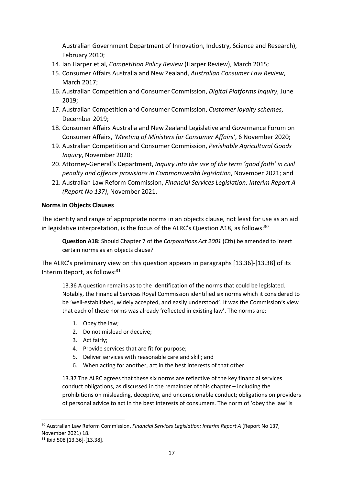Australian Government Department of Innovation, Industry, Science and Research), February 2010;

- 14. Ian Harper et al, *Competition Policy Review* (Harper Review), March 2015;
- 15. Consumer Affairs Australia and New Zealand, *Australian Consumer Law Review*, March 2017;
- 16. Australian Competition and Consumer Commission, *Digital Platforms Inquiry*, June 2019;
- 17. Australian Competition and Consumer Commission, *Customer loyalty schemes*, December 2019;
- 18. Consumer Affairs Australia and New Zealand Legislative and Governance Forum on Consumer Affairs, *'Meeting of Ministers for Consumer Affairs'*, 6 November 2020;
- 19. Australian Competition and Consumer Commission, *Perishable Agricultural Goods Inquiry*, November 2020;
- 20. Attorney-General's Department, *Inquiry into the use of the term 'good faith' in civil penalty and offence provisions in Commonwealth legislation*, November 2021; and
- 21. Australian Law Reform Commission, *Financial Services Legislation: Interim Report A (Report No 137)*, November 2021.

## **Norms in Objects Clauses**

The identity and range of appropriate norms in an objects clause, not least for use as an aid in legislative interpretation, is the focus of the ALRC's Question A18, as follows: $30$ 

**Question A18:** Should Chapter 7 of the *Corporations Act 2001* (Cth) be amended to insert certain norms as an objects clause?

The ALRC's preliminary view on this question appears in paragraphs [13.36]-[13.38] of its Interim Report, as follows: $31$ 

13.36 A question remains as to the identification of the norms that could be legislated. Notably, the Financial Services Royal Commission identified six norms which it considered to be 'well-established, widely accepted, and easily understood'. It was the Commission's view that each of these norms was already 'reflected in existing law'. The norms are:

- 1. Obey the law;
- 2. Do not mislead or deceive;
- 3. Act fairly;
- 4. Provide services that are fit for purpose;
- 5. Deliver services with reasonable care and skill; and
- 6. When acting for another, act in the best interests of that other.

13.37 The ALRC agrees that these six norms are reflective of the key financial services conduct obligations, as discussed in the remainder of this chapter – including the prohibitions on misleading, deceptive, and unconscionable conduct; obligations on providers of personal advice to act in the best interests of consumers. The norm of 'obey the law' is

<sup>&</sup>lt;sup>30</sup> Australian Law Reform Commission, *Financial Services Legislation: Interim Report A* (Report No 137, November 2021) 18.

<sup>31</sup> Ibid 508 [13.36]-[13.38].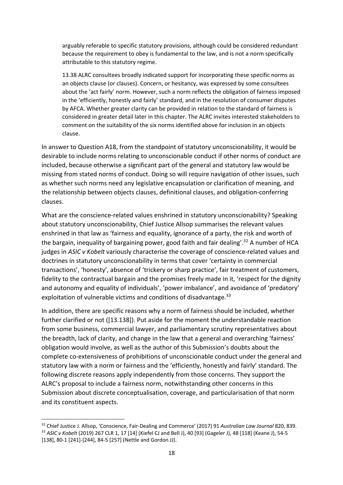arguably referable to specific statutory provisions, although could be considered redundant because the requirement to obey is fundamental to the law, and is not a norm specifically attributable to this statutory regime.

13.38 ALRC consultees broadly indicated support for incorporating these specific norms as an objects clause (or clauses). Concern, or hesitancy, was expressed by some consultees about the 'act fairly' norm. However, such a norm reflects the obligation of fairness imposed in the 'efficiently, honestly and fairly' standard, and in the resolution of consumer disputes by AFCA. Whether greater clarity can be provided in relation to the standard of fairness is considered in greater detail later in this chapter. The ALRC invites interested stakeholders to comment on the suitability of the six norms identified above for inclusion in an objects clause.

In answer to Question A18, from the standpoint of statutory unconscionability, it would be desirable to include norms relating to unconscionable conduct if other norms of conduct are included, because otherwise a significant part of the general and statutory law would be missing from stated norms of conduct. Doing so will require navigation of other issues, such as whether such norms need any legislative encapsulation or clarification of meaning, and the relationship between objects clauses, definitional clauses, and obligation-conferring clauses.

What are the conscience-related values enshrined in statutory unconscionability? Speaking about statutory unconscionability, Chief Justice Allsop summarises the relevant values enshrined in that law as 'fairness and equality, ignorance of a party, the risk and worth of the bargain, inequality of bargaining power, good faith and fair dealing'.<sup>32</sup> A number of HCA judges in *ASIC v Kobelt* variously characterise the coverage of conscience-related values and doctrines in statutory unconscionability in terms that cover 'certainty in commercial transactions', 'honesty', absence of 'trickery or sharp practice', fair treatment of customers, fidelity to the contractual bargain and the promises freely made in it, 'respect for the dignity and autonomy and equality of individuals', 'power imbalance', and avoidance of 'predatory' exploitation of vulnerable victims and conditions of disadvantage.<sup>33</sup>

In addition, there are specific reasons why a norm of fairness should be included, whether further clarified or not ([13.138]). Put aside for the moment the understandable reaction from some business, commercial lawyer, and parliamentary scrutiny representatives about the breadth, lack of clarity, and change in the law that a general and overarching 'fairness' obligation would involve, as well as the author of this Submission's doubts about the complete co-extensiveness of prohibitions of unconscionable conduct under the general and statutory law with a norm or fairness and the 'efficiently, honestly and fairly' standard. The following discrete reasons apply independently from those concerns. They support the ALRC's proposal to include a fairness norm, notwithstanding other concerns in this Submission about discrete conceptualisation, coverage, and particularisation of that norm and its constituent aspects.

 $32$  Chief Justice J. Allsop, 'Conscience, Fair-Dealing and Commerce' (2017) 91 Australian Law Journal 820, 839.<br> $33$  ASIC v Kobelt (2019) 267 CLR 1, 17 [14] (Kiefel CJ and Bell J), 40 [93] (Gageler J), 48 [118] (Keane J) [138], 80-1 [241]-[244], 84-5 [257] (Nettle and Gordon JJ).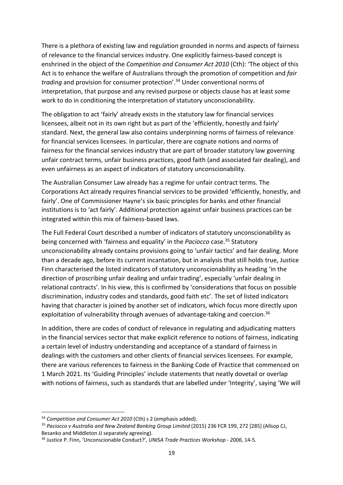There is a plethora of existing law and regulation grounded in norms and aspects of fairness of relevance to the financial services industry. One explicitly fairness-based concept is enshrined in the object of the *Competition and Consumer Act 2010* (Cth): 'The object of this Act is to enhance the welfare of Australians through the promotion of competition and *fair trading* and provision for consumer protection'.34 Under conventional norms of interpretation, that purpose and any revised purpose or objects clause has at least some work to do in conditioning the interpretation of statutory unconscionability.

The obligation to act 'fairly' already exists in the statutory law for financial services licensees, albeit not in its own right but as part of the 'efficiently, honestly and fairly' standard. Next, the general law also contains underpinning norms of fairness of relevance for financial services licensees. In particular, there are cognate notions and norms of fairness for the financial services industry that are part of broader statutory law governing unfair contract terms, unfair business practices, good faith (and associated fair dealing), and even unfairness as an aspect of indicators of statutory unconscionability.

The Australian Consumer Law already has a regime for unfair contract terms. The Corporations Act already requires financial services to be provided 'efficiently, honestly, and fairly'. One of Commissioner Hayne's six basic principles for banks and other financial institutions is to 'act fairly'. Additional protection against unfair business practices can be integrated within this mix of fairness-based laws.

The Full Federal Court described a number of indicators of statutory unconscionability as being concerned with 'fairness and equality' in the *Paciocco* case.35 Statutory unconscionability already contains provisions going to 'unfair tactics' and fair dealing. More than a decade ago, before its current incantation, but in analysis that still holds true, Justice Finn characterised the listed indicators of statutory unconscionability as heading 'in the direction of proscribing unfair dealing and unfair trading', especially 'unfair dealing in relational contracts'. In his view, this is confirmed by 'considerations that focus on possible discrimination, industry codes and standards, good faith etc'. The set of listed indicators having that character is joined by another set of indicators, which focus more directly upon exploitation of vulnerability through avenues of advantage-taking and coercion.<sup>36</sup>

In addition, there are codes of conduct of relevance in regulating and adjudicating matters in the financial services sector that make explicit reference to notions of fairness, indicating a certain level of industry understanding and acceptance of a standard of fairness in dealings with the customers and other clients of financial services licensees. For example, there are various references to fairness in the Banking Code of Practice that commenced on 1 March 2021. Its 'Guiding Principles' include statements that neatly dovetail or overlap with notions of fairness, such as standards that are labelled under 'Integrity', saying 'We will

<sup>34</sup> *Competition and Consumer Act 2010* (Cth) s 2 (emphasis added).

<sup>35</sup> *Paciocco v Australia and New Zealand Banking Group Limited* (2015) 236 FCR 199, 272 [285] (Allsop CJ, Besanko and Middleton JJ separately agreeing).

<sup>36</sup> Justice P. Finn, 'Unconscionable Conduct?', *UNISA Trade Practices Workshop - 2006*, 14-5.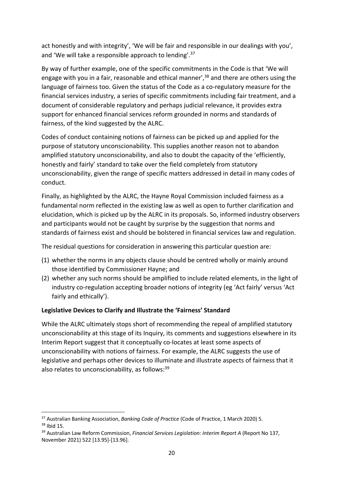act honestly and with integrity', 'We will be fair and responsible in our dealings with you', and 'We will take a responsible approach to lending'.37

By way of further example, one of the specific commitments in the Code is that 'We will engage with you in a fair, reasonable and ethical manner',  $38$  and there are others using the language of fairness too. Given the status of the Code as a co-regulatory measure for the financial services industry, a series of specific commitments including fair treatment, and a document of considerable regulatory and perhaps judicial relevance, it provides extra support for enhanced financial services reform grounded in norms and standards of fairness, of the kind suggested by the ALRC.

Codes of conduct containing notions of fairness can be picked up and applied for the purpose of statutory unconscionability. This supplies another reason not to abandon amplified statutory unconscionability, and also to doubt the capacity of the 'efficiently, honestly and fairly' standard to take over the field completely from statutory unconscionability, given the range of specific matters addressed in detail in many codes of conduct.

Finally, as highlighted by the ALRC, the Hayne Royal Commission included fairness as a fundamental norm reflected in the existing law as well as open to further clarification and elucidation, which is picked up by the ALRC in its proposals. So, informed industry observers and participants would not be caught by surprise by the suggestion that norms and standards of fairness exist and should be bolstered in financial services law and regulation.

The residual questions for consideration in answering this particular question are:

- (1) whether the norms in any objects clause should be centred wholly or mainly around those identified by Commissioner Hayne; and
- (2) whether any such norms should be amplified to include related elements, in the light of industry co-regulation accepting broader notions of integrity (eg 'Act fairly' versus 'Act fairly and ethically').

# **Legislative Devices to Clarify and Illustrate the 'Fairness' Standard**

While the ALRC ultimately stops short of recommending the repeal of amplified statutory unconscionability at this stage of its Inquiry, its comments and suggestions elsewhere in its Interim Report suggest that it conceptually co-locates at least some aspects of unconscionability with notions of fairness. For example, the ALRC suggests the use of legislative and perhaps other devices to illuminate and illustrate aspects of fairness that it also relates to unconscionability, as follows: $39$ 

<sup>&</sup>lt;sup>37</sup> Australian Banking Association, *Banking Code of Practice* (Code of Practice, 1 March 2020) 5.<br><sup>38</sup> Ibid 15.<br><sup>39</sup> Australian Law Reform Commission, *Financial Services Legislation: Interim Report A* (Report No 137,

November 2021) 522 [13.95]-[13.96].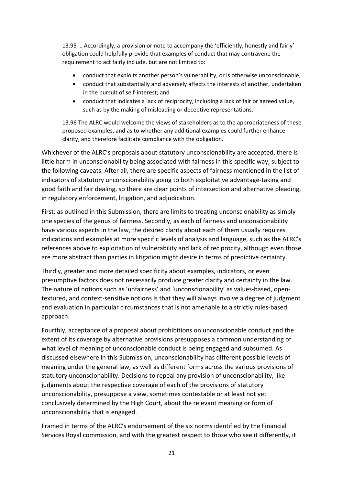13.95 … Accordingly, a provision or note to accompany the 'efficiently, honestly and fairly' obligation could helpfully provide that examples of conduct that may contravene the requirement to act fairly include, but are not limited to:

- conduct that exploits another person's vulnerability, or is otherwise unconscionable;
- conduct that substantially and adversely affects the interests of another, undertaken in the pursuit of self-interest; and
- conduct that indicates a lack of reciprocity, including a lack of fair or agreed value, such as by the making of misleading or deceptive representations.

13.96 The ALRC would welcome the views of stakeholders as to the appropriateness of these proposed examples, and as to whether any additional examples could further enhance clarity, and therefore facilitate compliance with the obligation.

Whichever of the ALRC's proposals about statutory unconscionability are accepted, there is little harm in unconscionability being associated with fairness in this specific way, subject to the following caveats. After all, there are specific aspects of fairness mentioned in the list of indicators of statutory unconscionability going to both exploitative advantage-taking and good faith and fair dealing, so there are clear points of intersection and alternative pleading, in regulatory enforcement, litigation, and adjudication.

First, as outlined in this Submission, there are limits to treating unconscionability as simply one species of the genus of fairness. Secondly, as each of fairness and unconscionability have various aspects in the law, the desired clarity about each of them usually requires indications and examples at more specific levels of analysis and language, such as the ALRC's references above to exploitation of vulnerability and lack of reciprocity, although even those are more abstract than parties in litigation might desire in terms of predictive certainty.

Thirdly, greater and more detailed specificity about examples, indicators, or even presumptive factors does not necessarily produce greater clarity and certainty in the law. The nature of notions such as 'unfairness' and 'unconscionability' as values-based, opentextured, and context-sensitive notions is that they will always involve a degree of judgment and evaluation in particular circumstances that is not amenable to a strictly rules-based approach.

Fourthly, acceptance of a proposal about prohibitions on unconscionable conduct and the extent of its coverage by alternative provisions presupposes a common understanding of what level of meaning of unconscionable conduct is being engaged and subsumed. As discussed elsewhere in this Submission, unconscionability has different possible levels of meaning under the general law, as well as different forms across the various provisions of statutory unconscionability. Decisions to repeal any provision of unconscionability, like judgments about the respective coverage of each of the provisions of statutory unconscionability, presuppose a view, sometimes contestable or at least not yet conclusively determined by the High Court, about the relevant meaning or form of unconscionability that is engaged.

Framed in terms of the ALRC's endorsement of the six norms identified by the Financial Services Royal commission, and with the greatest respect to those who see it differently, it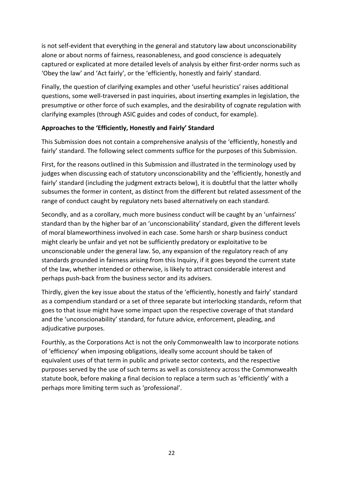is not self-evident that everything in the general and statutory law about unconscionability alone or about norms of fairness, reasonableness, and good conscience is adequately captured or explicated at more detailed levels of analysis by either first-order norms such as 'Obey the law' and 'Act fairly', or the 'efficiently, honestly and fairly' standard.

Finally, the question of clarifying examples and other 'useful heuristics' raises additional questions, some well-traversed in past inquiries, about inserting examples in legislation, the presumptive or other force of such examples, and the desirability of cognate regulation with clarifying examples (through ASIC guides and codes of conduct, for example).

## **Approaches to the 'Efficiently, Honestly and Fairly' Standard**

This Submission does not contain a comprehensive analysis of the 'efficiently, honestly and fairly' standard. The following select comments suffice for the purposes of this Submission.

First, for the reasons outlined in this Submission and illustrated in the terminology used by judges when discussing each of statutory unconscionability and the 'efficiently, honestly and fairly' standard (including the judgment extracts below), it is doubtful that the latter wholly subsumes the former in content, as distinct from the different but related assessment of the range of conduct caught by regulatory nets based alternatively on each standard.

Secondly, and as a corollary, much more business conduct will be caught by an 'unfairness' standard than by the higher bar of an 'unconscionability' standard, given the different levels of moral blameworthiness involved in each case. Some harsh or sharp business conduct might clearly be unfair and yet not be sufficiently predatory or exploitative to be unconscionable under the general law. So, any expansion of the regulatory reach of any standards grounded in fairness arising from this Inquiry, if it goes beyond the current state of the law, whether intended or otherwise, is likely to attract considerable interest and perhaps push-back from the business sector and its advisers.

Thirdly, given the key issue about the status of the 'efficiently, honestly and fairly' standard as a compendium standard or a set of three separate but interlocking standards, reform that goes to that issue might have some impact upon the respective coverage of that standard and the 'unconscionability' standard, for future advice, enforcement, pleading, and adjudicative purposes.

Fourthly, as the Corporations Act is not the only Commonwealth law to incorporate notions of 'efficiency' when imposing obligations, ideally some account should be taken of equivalent uses of that term in public and private sector contexts, and the respective purposes served by the use of such terms as well as consistency across the Commonwealth statute book, before making a final decision to replace a term such as 'efficiently' with a perhaps more limiting term such as 'professional'.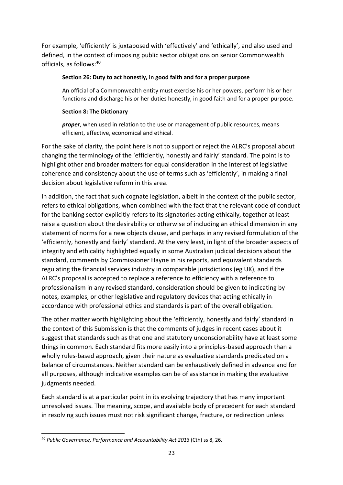For example, 'efficiently' is juxtaposed with 'effectively' and 'ethically', and also used and defined, in the context of imposing public sector obligations on senior Commonwealth officials, as follows:40

## **Section 26: Duty to act honestly, in good faith and for a proper purpose**

An official of a Commonwealth entity must exercise his or her powers, perform his or her functions and discharge his or her duties honestly, in good faith and for a proper purpose.

## **Section 8: The Dictionary**

*proper*, when used in relation to the use or management of public resources, means efficient, effective, economical and ethical.

For the sake of clarity, the point here is not to support or reject the ALRC's proposal about changing the terminology of the 'efficiently, honestly and fairly' standard. The point is to highlight other and broader matters for equal consideration in the interest of legislative coherence and consistency about the use of terms such as 'efficiently', in making a final decision about legislative reform in this area.

In addition, the fact that such cognate legislation, albeit in the context of the public sector, refers to ethical obligations, when combined with the fact that the relevant code of conduct for the banking sector explicitly refers to its signatories acting ethically, together at least raise a question about the desirability or otherwise of including an ethical dimension in any statement of norms for a new objects clause, and perhaps in any revised formulation of the 'efficiently, honestly and fairly' standard. At the very least, in light of the broader aspects of integrity and ethicality highlighted equally in some Australian judicial decisions about the standard, comments by Commissioner Hayne in his reports, and equivalent standards regulating the financial services industry in comparable jurisdictions (eg UK), and if the ALRC's proposal is accepted to replace a reference to efficiency with a reference to professionalism in any revised standard, consideration should be given to indicating by notes, examples, or other legislative and regulatory devices that acting ethically in accordance with professional ethics and standards is part of the overall obligation.

The other matter worth highlighting about the 'efficiently, honestly and fairly' standard in the context of this Submission is that the comments of judges in recent cases about it suggest that standards such as that one and statutory unconscionability have at least some things in common. Each standard fits more easily into a principles-based approach than a wholly rules-based approach, given their nature as evaluative standards predicated on a balance of circumstances. Neither standard can be exhaustively defined in advance and for all purposes, although indicative examples can be of assistance in making the evaluative judgments needed.

Each standard is at a particular point in its evolving trajectory that has many important unresolved issues. The meaning, scope, and available body of precedent for each standard in resolving such issues must not risk significant change, fracture, or redirection unless

<sup>40</sup> *Public Governance, Performance and Accountability Act 2013* (Cth) ss 8, 26.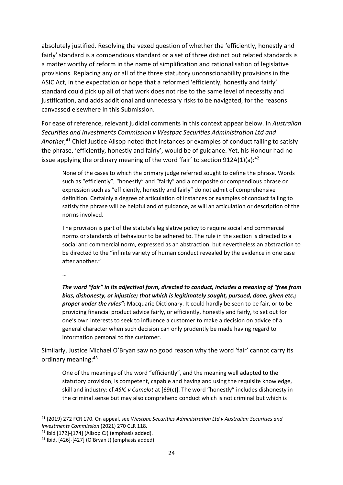absolutely justified. Resolving the vexed question of whether the 'efficiently, honestly and fairly' standard is a compendious standard or a set of three distinct but related standards is a matter worthy of reform in the name of simplification and rationalisation of legislative provisions. Replacing any or all of the three statutory unconscionability provisions in the ASIC Act, in the expectation or hope that a reformed 'efficiently, honestly and fairly' standard could pick up all of that work does not rise to the same level of necessity and justification, and adds additional and unnecessary risks to be navigated, for the reasons canvassed elsewhere in this Submission.

For ease of reference, relevant judicial comments in this context appear below. In *Australian Securities and Investments Commission v Westpac Securities Administration Ltd and Another*, <sup>41</sup> Chief Justice Allsop noted that instances or examples of conduct failing to satisfy the phrase, 'efficiently, honestly and fairly', would be of guidance. Yet, his Honour had no issue applying the ordinary meaning of the word 'fair' to section  $912A(1)(a).^{42}$ 

None of the cases to which the primary judge referred sought to define the phrase. Words such as "efficiently", "honestly" and "fairly" and a composite or compendious phrase or expression such as "efficiently, honestly and fairly" do not admit of comprehensive definition. Certainly a degree of articulation of instances or examples of conduct failing to satisfy the phrase will be helpful and of guidance, as will an articulation or description of the norms involved.

The provision is part of the statute's legislative policy to require social and commercial norms or standards of behaviour to be adhered to. The rule in the section is directed to a social and commercial norm, expressed as an abstraction, but nevertheless an abstraction to be directed to the "infinite variety of human conduct revealed by the evidence in one case after another."

…

*The word "fair" in its adjectival form, directed to conduct, includes a meaning of "free from bias, dishonesty, or injustice; that which is legitimately sought, pursued, done, given etc.; proper under the rules":* Macquarie Dictionary. It could hardly be seen to be fair, or to be providing financial product advice fairly, or efficiently, honestly and fairly, to set out for one's own interests to seek to influence a customer to make a decision on advice of a general character when such decision can only prudently be made having regard to information personal to the customer.

Similarly, Justice Michael O'Bryan saw no good reason why the word 'fair' cannot carry its ordinary meaning:43

One of the meanings of the word "efficiently", and the meaning well adapted to the statutory provision, is competent, capable and having and using the requisite knowledge, skill and industry: cf *ASIC v Camelot* at [69(c)]. The word "honestly" includes dishonesty in the criminal sense but may also comprehend conduct which is not criminal but which is

<sup>41</sup> (2019) 272 FCR 170. On appeal, see *Westpac Securities Administration Ltd v Australian Securities and Investments Commission* (2021) 270 CLR 118.

 $42$  Ibid [172]-[174] (Allsop CJ) (emphasis added).

<sup>43</sup> Ibid, [426]-[427] (O'Bryan J) (emphasis added).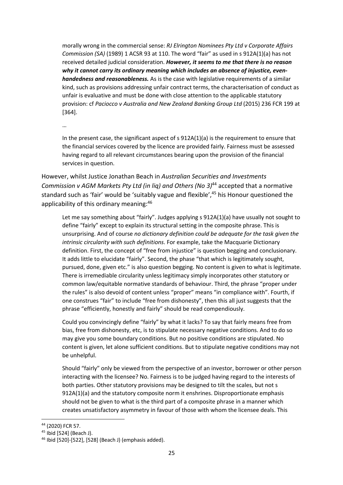morally wrong in the commercial sense: *RJ Elrington Nominees Pty Ltd v Corporate Affairs Commission (SA)* (1989) 1 ACSR 93 at 110. The word "fair" as used in s 912A(1)(a) has not received detailed judicial consideration. *However, it seems to me that there is no reason why it cannot carry its ordinary meaning which includes an absence of injustice, evenhandedness and reasonableness.* As is the case with legislative requirements of a similar kind, such as provisions addressing unfair contract terms, the characterisation of conduct as unfair is evaluative and must be done with close attention to the applicable statutory provision: cf *Paciocco v Australia and New Zealand Banking Group Ltd* (2015) 236 FCR 199 at [364].

…

In the present case, the significant aspect of  $s$  912A(1)(a) is the requirement to ensure that the financial services covered by the licence are provided fairly. Fairness must be assessed having regard to all relevant circumstances bearing upon the provision of the financial services in question.

However, whilst Justice Jonathan Beach in *Australian Securities and Investments Commission v AGM Markets Pty Ltd (in liq) and Others (No 3)*<sup>44</sup> accepted that a normative standard such as 'fair' would be 'suitably vague and flexible',<sup>45</sup> his Honour questioned the applicability of this ordinary meaning:<sup>46</sup>

Let me say something about "fairly". Judges applying s 912A(1)(a) have usually not sought to define "fairly" except to explain its structural setting in the composite phrase. This is unsurprising. And of course *no dictionary definition could be adequate for the task given the intrinsic circularity with such definitions*. For example, take the Macquarie Dictionary definition. First, the concept of "free from injustice" is question begging and conclusionary. It adds little to elucidate "fairly". Second, the phase "that which is legitimately sought, pursued, done, given etc." is also question begging. No content is given to what is legitimate. There is irremediable circularity unless legitimacy simply incorporates other statutory or common law/equitable normative standards of behaviour. Third, the phrase "proper under the rules" is also devoid of content unless "proper" means "in compliance with". Fourth, if one construes "fair" to include "free from dishonesty", then this all just suggests that the phrase "efficiently, honestly and fairly" should be read compendiously.

Could you convincingly define "fairly" by what it lacks? To say that fairly means free from bias, free from dishonesty, etc, is to stipulate necessary negative conditions. And to do so may give you some boundary conditions. But no positive conditions are stipulated. No content is given, let alone sufficient conditions. But to stipulate negative conditions may not be unhelpful.

Should "fairly" only be viewed from the perspective of an investor, borrower or other person interacting with the licensee? No. Fairness is to be judged having regard to the interests of both parties. Other statutory provisions may be designed to tilt the scales, but not s 912A(1)(a) and the statutory composite norm it enshrines. Disproportionate emphasis should not be given to what is the third part of a composite phrase in a manner which creates unsatisfactory asymmetry in favour of those with whom the licensee deals. This

<sup>&</sup>lt;sup>44</sup> (2020) FCR 57.<br><sup>45</sup> Ibid [524] (Beach J).

 $46$  Ibid [520]-[522], [528] (Beach J) (emphasis added).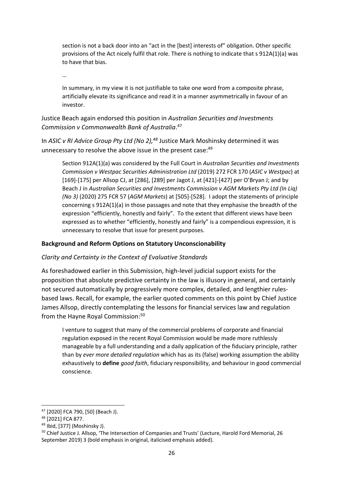section is not a back door into an "act in the [best] interests of" obligation. Other specific provisions of the Act nicely fulfil that role. There is nothing to indicate that s 912A(1)(a) was to have that bias.

…

In summary, in my view it is not justifiable to take one word from a composite phrase, artificially elevate its significance and read it in a manner asymmetrically in favour of an investor.

## Justice Beach again endorsed this position in *Australian Securities and Investments Commission v Commonwealth Bank of Australia*. 47

In *ASIC v RI Advice Group Pty Ltd (No 2)*,<sup>48</sup> Justice Mark Moshinsky determined it was unnecessary to resolve the above issue in the present case:<sup>49</sup>

Section 912A(1)(a) was considered by the Full Court in *Australian Securities and Investments Commission v Westpac Securities Administration Ltd* (2019) 272 FCR 170 (*ASIC v Westpac*) at [169]-[175] per Allsop CJ, at [286], [289] per Jagot J, at [421]-[427] per O'Bryan J; and by Beach J in *Australian Securities and Investments Commission v AGM Markets Pty Ltd (In Liq) (No 3)* (2020) 275 FCR 57 (*AGM Markets*) at [505]-[528]. I adopt the statements of principle concerning s 912A(1)(a) in those passages and note that they emphasise the breadth of the expression "efficiently, honestly and fairly". To the extent that different views have been expressed as to whether "efficiently, honestly and fairly" is a compendious expression, it is unnecessary to resolve that issue for present purposes.

## **Background and Reform Options on Statutory Unconscionability**

### *Clarity and Certainty in the Context of Evaluative Standards*

As foreshadowed earlier in this Submission, high-level judicial support exists for the proposition that absolute predictive certainty in the law is illusory in general, and certainly not secured automatically by progressively more complex, detailed, and lengthier rulesbased laws. Recall, for example, the earlier quoted comments on this point by Chief Justice James Allsop, directly contemplating the lessons for financial services law and regulation from the Hayne Royal Commission:<sup>50</sup>

I venture to suggest that many of the commercial problems of corporate and financial regulation exposed in the recent Royal Commission would be made more ruthlessly manageable by a full understanding and a daily application of the fiduciary principle, rather than by *ever more detailed regulation* which has as its (false) working assumption the ability exhaustively to **define** *good faith*, fiduciary responsibility, and behaviour in good commercial conscience.

<sup>47</sup> [2020] FCA 790, [50] (Beach J).

<sup>48</sup> [2021] FCA 877.

<sup>49</sup> Ibid, [377] (Moshinsky J).

<sup>&</sup>lt;sup>50</sup> Chief Justice J. Allsop, 'The Intersection of Companies and Trusts' (Lecture, Harold Ford Memorial, 26 September 2019) 3 (bold emphasis in original, italicised emphasis added).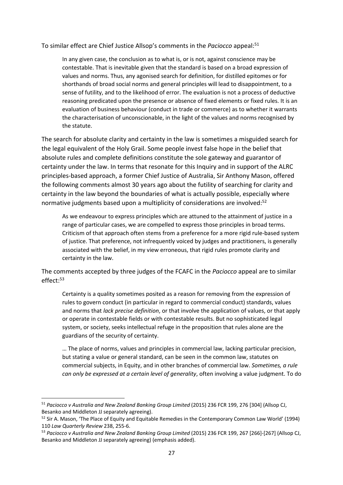To similar effect are Chief Justice Allsop's comments in the *Paciocco* appeal:<sup>51</sup>

In any given case, the conclusion as to what is, or is not, against conscience may be contestable. That is inevitable given that the standard is based on a broad expression of values and norms. Thus, any agonised search for definition, for distilled epitomes or for shorthands of broad social norms and general principles will lead to disappointment, to a sense of futility, and to the likelihood of error. The evaluation is not a process of deductive reasoning predicated upon the presence or absence of fixed elements or fixed rules. It is an evaluation of business behaviour (conduct in trade or commerce) as to whether it warrants the characterisation of unconscionable, in the light of the values and norms recognised by the statute.

The search for absolute clarity and certainty in the law is sometimes a misguided search for the legal equivalent of the Holy Grail. Some people invest false hope in the belief that absolute rules and complete definitions constitute the sole gateway and guarantor of certainty under the law. In terms that resonate for this Inquiry and in support of the ALRC principles-based approach, a former Chief Justice of Australia, Sir Anthony Mason, offered the following comments almost 30 years ago about the futility of searching for clarity and certainty in the law beyond the boundaries of what is actually possible, especially where normative judgments based upon a multiplicity of considerations are involved:<sup>52</sup>

As we endeavour to express principles which are attuned to the attainment of justice in a range of particular cases, we are compelled to express those principles in broad terms. Criticism of that approach often stems from a preference for a more rigid rule-based system of justice. That preference, not infrequently voiced by judges and practitioners, is generally associated with the belief, in my view erroneous, that rigid rules promote clarity and certainty in the law.

The comments accepted by three judges of the FCAFC in the *Paciocco* appeal are to similar effect:<sup>53</sup>

Certainty is a quality sometimes posited as a reason for removing from the expression of rules to govern conduct (in particular in regard to commercial conduct) standards, values and norms that *lack precise definition*, or that involve the application of values, or that apply or operate in contestable fields or with contestable results. But no sophisticated legal system, or society, seeks intellectual refuge in the proposition that rules alone are the guardians of the security of certainty.

… The place of norms, values and principles in commercial law, lacking particular precision, but stating a value or general standard, can be seen in the common law, statutes on commercial subjects, in Equity, and in other branches of commercial law. *Sometimes, a rule can only be expressed at a certain level of generality*, often involving a value judgment. To do

<sup>51</sup> *Paciocco v Australia and New Zealand Banking Group Limited* (2015) 236 FCR 199, 276 [304] (Allsop CJ, Besanko and Middleton JJ separately agreeing).

<sup>52</sup> Sir A. Mason, 'The Place of Equity and Equitable Remedies in the Contemporary Common Law World' (1994) 110 *Law Quarterly Review* 238, 255-6.

<sup>53</sup> *Paciocco v Australia and New Zealand Banking Group Limited* (2015) 236 FCR 199, 267 [266]-[267] (Allsop CJ, Besanko and Middleton JJ separately agreeing) (emphasis added).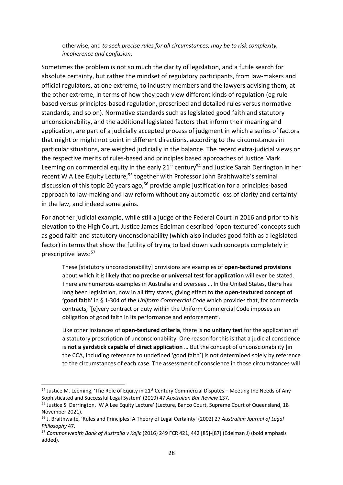otherwise, and *to seek precise rules for all circumstances, may be to risk complexity, incoherence and confusion*.

Sometimes the problem is not so much the clarity of legislation, and a futile search for absolute certainty, but rather the mindset of regulatory participants, from law-makers and official regulators, at one extreme, to industry members and the lawyers advising them, at the other extreme, in terms of how they each view different kinds of regulation (eg rulebased versus principles-based regulation, prescribed and detailed rules versus normative standards, and so on). Normative standards such as legislated good faith and statutory unconscionability, and the additional legislated factors that inform their meaning and application, are part of a judicially accepted process of judgment in which a series of factors that might or might not point in different directions, according to the circumstances in particular situations, are weighed judicially in the balance. The recent extra-judicial views on the respective merits of rules-based and principles based approaches of Justice Mark Leeming on commercial equity in the early  $21^{st}$  century<sup>54</sup> and Justice Sarah Derrington in her recent W A Lee Equity Lecture,<sup>55</sup> together with Professor John Braithwaite's seminal discussion of this topic 20 years ago,<sup>56</sup> provide ample justification for a principles-based approach to law-making and law reform without any automatic loss of clarity and certainty in the law, and indeed some gains.

For another judicial example, while still a judge of the Federal Court in 2016 and prior to his elevation to the High Court, Justice James Edelman described 'open-textured' concepts such as good faith and statutory unconscionability (which also includes good faith as a legislated factor) in terms that show the futility of trying to bed down such concepts completely in prescriptive laws:<sup>57</sup>

These [statutory unconscionability] provisions are examples of **open-textured provisions** about which it is likely that **no precise or universal test for application** will ever be stated. There are numerous examples in Australia and overseas … In the United States, there has long been legislation, now in all fifty states, giving effect to **the open-textured concept of 'good faith'** in § 1-304 of the *Uniform Commercial Code* which provides that, for commercial contracts, '[e]very contract or duty within the Uniform Commercial Code imposes an obligation of good faith in its performance and enforcement'.

Like other instances of **open-textured criteria**, there is **no unitary test** for the application of a statutory proscription of unconscionability. One reason for this is that a judicial conscience is **not a yardstick capable of direct application** … But the concept of unconscionability [in the CCA, including reference to undefined 'good faith'] is not determined solely by reference to the circumstances of each case. The assessment of conscience in those circumstances will

<sup>&</sup>lt;sup>54</sup> Justice M. Leeming, 'The Role of Equity in 21<sup>st</sup> Century Commercial Disputes – Meeting the Needs of Any Sophisticated and Successful Legal System' (2019) 47 *Australian Bar Review* 137.

<sup>&</sup>lt;sup>55</sup> Justice S. Derrington, 'W A Lee Equity Lecture' (Lecture, Banco Court, Supreme Court of Queensland, 18 November 2021).

<sup>56</sup> J. Braithwaite, 'Rules and Principles: A Theory of Legal Certainty' (2002) 27 *Australian Journal of Legal Philosophy* 47.

<sup>57</sup> *Commonwealth Bank of Australia v Kojic* (2016) 249 FCR 421, 442 [85]-[87] (Edelman J) (bold emphasis added).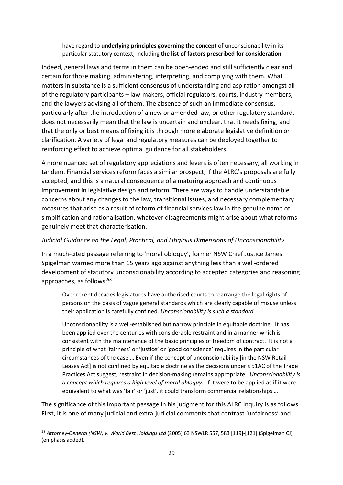have regard to **underlying principles governing the concept** of unconscionability in its particular statutory context, including **the list of factors prescribed for consideration**.

Indeed, general laws and terms in them can be open-ended and still sufficiently clear and certain for those making, administering, interpreting, and complying with them. What matters in substance is a sufficient consensus of understanding and aspiration amongst all of the regulatory participants – law-makers, official regulators, courts, industry members, and the lawyers advising all of them. The absence of such an immediate consensus, particularly after the introduction of a new or amended law, or other regulatory standard, does not necessarily mean that the law is uncertain and unclear, that it needs fixing, and that the only or best means of fixing it is through more elaborate legislative definition or clarification. A variety of legal and regulatory measures can be deployed together to reinforcing effect to achieve optimal guidance for all stakeholders.

A more nuanced set of regulatory appreciations and levers is often necessary, all working in tandem. Financial services reform faces a similar prospect, if the ALRC's proposals are fully accepted, and this is a natural consequence of a maturing approach and continuous improvement in legislative design and reform. There are ways to handle understandable concerns about any changes to the law, transitional issues, and necessary complementary measures that arise as a result of reform of financial services law in the genuine name of simplification and rationalisation, whatever disagreements might arise about what reforms genuinely meet that characterisation.

## *Judicial Guidance on the Legal, Practical, and Litigious Dimensions of Unconscionability*

In a much-cited passage referring to 'moral obloquy', former NSW Chief Justice James Spigelman warned more than 15 years ago against anything less than a well-ordered development of statutory unconscionability according to accepted categories and reasoning approaches, as follows:58

Over recent decades legislatures have authorised courts to rearrange the legal rights of persons on the basis of vague general standards which are clearly capable of misuse unless their application is carefully confined. *Unconscionability is such a standard.* 

Unconscionability is a well-established but narrow principle in equitable doctrine. It has been applied over the centuries with considerable restraint and in a manner which is consistent with the maintenance of the basic principles of freedom of contract. It is not a principle of what 'fairness' or 'justice' or 'good conscience' requires in the particular circumstances of the case … Even if the concept of unconscionability [in the NSW Retail Leases Act] is not confined by equitable doctrine as the decisions under s 51AC of the Trade Practices Act suggest, restraint in decision-making remains appropriate. *Unconscionability is a concept which requires a high level of moral obloquy.* If it were to be applied as if it were equivalent to what was 'fair' or 'just', it could transform commercial relationships …

The significance of this important passage in his judgment for this ALRC Inquiry is as follows. First, it is one of many judicial and extra-judicial comments that contrast 'unfairness' and

<sup>58</sup> *Attorney-General (NSW) v. World Best Holdings Ltd* (2005) 63 NSWLR 557, 583 [119]-[121] (Spigelman CJ) (emphasis added).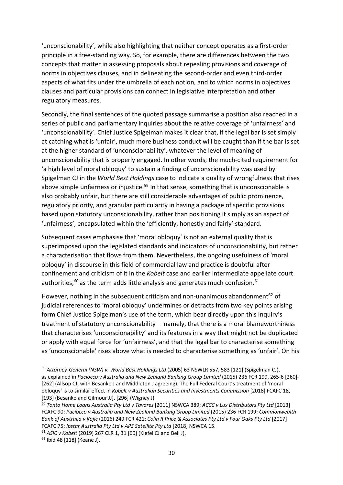'unconscionability', while also highlighting that neither concept operates as a first-order principle in a free-standing way. So, for example, there are differences between the two concepts that matter in assessing proposals about repealing provisions and coverage of norms in objectives clauses, and in delineating the second-order and even third-order aspects of what fits under the umbrella of each notion, and to which norms in objectives clauses and particular provisions can connect in legislative interpretation and other regulatory measures.

Secondly, the final sentences of the quoted passage summarise a position also reached in a series of public and parliamentary inquiries about the relative coverage of 'unfairness' and 'unconscionability'. Chief Justice Spigelman makes it clear that, if the legal bar is set simply at catching what is 'unfair', much more business conduct will be caught than if the bar is set at the higher standard of 'unconscionability', whatever the level of meaning of unconscionability that is properly engaged. In other words, the much-cited requirement for 'a high level of moral obloquy' to sustain a finding of unconscionability was used by Spigelman CJ in the *World Best Holdings* case to indicate a quality of wrongfulness that rises above simple unfairness or injustice.<sup>59</sup> In that sense, something that is unconscionable is also probably unfair, but there are still considerable advantages of public prominence, regulatory priority, and granular particularity in having a package of specific provisions based upon statutory unconscionability, rather than positioning it simply as an aspect of 'unfairness', encapsulated within the 'efficiently, honestly and fairly' standard.

Subsequent cases emphasise that 'moral obloquy' is not an external quality that is superimposed upon the legislated standards and indicators of unconscionability, but rather a characterisation that flows from them. Nevertheless, the ongoing usefulness of 'moral obloquy' in discourse in this field of commercial law and practice is doubtful after confinement and criticism of it in the *Kobelt* case and earlier intermediate appellate court authorities, $60$  as the term adds little analysis and generates much confusion.  $61$ 

However, nothing in the subsequent criticism and non-unanimous abandonment<sup>62</sup> of judicial references to 'moral obloquy' undermines or detracts from two key points arising form Chief Justice Spigelman's use of the term, which bear directly upon this Inquiry's treatment of statutory unconscionability – namely, that there is a moral blameworthiness that characterises 'unconscionability' and its features in a way that might not be duplicated or apply with equal force for 'unfairness', and that the legal bar to characterise something as 'unconscionable' rises above what is needed to characterise something as 'unfair'. On his

<sup>59</sup> *Attorney-General (NSW) v. World Best Holdings Ltd* (2005) 63 NSWLR 557, 583 [121] (Spigelman CJ), as explained in *Paciocco v Australia and New Zealand Banking Group Limited* (2015) 236 FCR 199, 265-6 [260]- [262] (Allsop CJ, with Besanko J and Middleton J agreeing). The Full Federal Court's treatment of 'moral obloquy' is to similar effect in *Kobelt v Australian Securities and Investments Commission* [2018] FCAFC 18, [193] (Besanko and Gilmour JJ), [296] (Wigney J).

<sup>60</sup> *Tonto Home Loans Australia Pty Ltd v Tavares* [2011] NSWCA 389; *ACCC v Lux Distributors Pty Ltd* [2013] FCAFC 90; *Paciocco v Australia and New Zealand Banking Group Limited* (2015) 236 FCR 199; *Commonwealth Bank of Australia v Kojic* (2016) 249 FCR 421; *Colin R Price & Associates Pty Ltd v Four Oaks Pty Ltd* [2017] FCAFC 75; *Ipstar Australia Pty Ltd v APS Satellite Pty Ltd* [2018] NSWCA 15.<br><sup>61</sup> *ASIC v Kobelt* (2019) 267 CLR 1, 31 [60] (Kiefel CJ and Bell J).<br><sup>62</sup> Ibid 48 [118] (Keane J).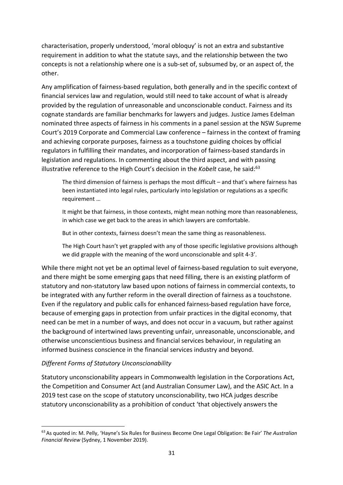characterisation, properly understood, 'moral obloquy' is not an extra and substantive requirement in addition to what the statute says, and the relationship between the two concepts is not a relationship where one is a sub-set of, subsumed by, or an aspect of, the other.

Any amplification of fairness-based regulation, both generally and in the specific context of financial services law and regulation, would still need to take account of what is already provided by the regulation of unreasonable and unconscionable conduct. Fairness and its cognate standards are familiar benchmarks for lawyers and judges. Justice James Edelman nominated three aspects of fairness in his comments in a panel session at the NSW Supreme Court's 2019 Corporate and Commercial Law conference – fairness in the context of framing and achieving corporate purposes, fairness as a touchstone guiding choices by official regulators in fulfilling their mandates, and incorporation of fairness-based standards in legislation and regulations. In commenting about the third aspect, and with passing illustrative reference to the High Court's decision in the *Kobelt* case, he said:<sup>63</sup>

The third dimension of fairness is perhaps the most difficult – and that's where fairness has been instantiated into legal rules, particularly into legislation or regulations as a specific requirement …

It might be that fairness, in those contexts, might mean nothing more than reasonableness, in which case we get back to the areas in which lawyers are comfortable.

But in other contexts, fairness doesn't mean the same thing as reasonableness.

The High Court hasn't yet grappled with any of those specific legislative provisions although we did grapple with the meaning of the word unconscionable and split 4-3'.

While there might not yet be an optimal level of fairness-based regulation to suit everyone, and there might be some emerging gaps that need filling, there is an existing platform of statutory and non-statutory law based upon notions of fairness in commercial contexts, to be integrated with any further reform in the overall direction of fairness as a touchstone. Even if the regulatory and public calls for enhanced fairness-based regulation have force, because of emerging gaps in protection from unfair practices in the digital economy, that need can be met in a number of ways, and does not occur in a vacuum, but rather against the background of intertwined laws preventing unfair, unreasonable, unconscionable, and otherwise unconscientious business and financial services behaviour, in regulating an informed business conscience in the financial services industry and beyond.

# *Different Forms of Statutory Unconscionability*

Statutory unconscionability appears in Commonwealth legislation in the Corporations Act, the Competition and Consumer Act (and Australian Consumer Law), and the ASIC Act. In a 2019 test case on the scope of statutory unconscionability, two HCA judges describe statutory unconscionability as a prohibition of conduct 'that objectively answers the

<sup>63</sup> As quoted in: M. Pelly, 'Hayne's Six Rules for Business Become One Legal Obligation: Be Fair' *The Australian Financial Review* (Sydney, 1 November 2019).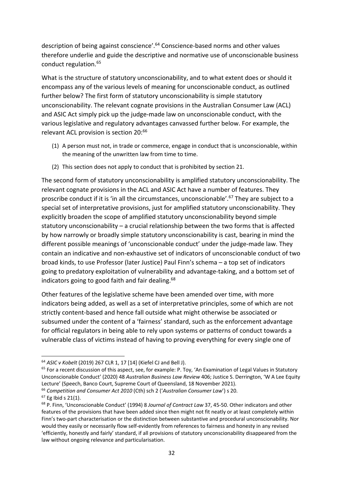description of being against conscience'.64 Conscience-based norms and other values therefore underlie and guide the descriptive and normative use of unconscionable business conduct regulation.65

What is the structure of statutory unconscionability, and to what extent does or should it encompass any of the various levels of meaning for unconscionable conduct, as outlined further below? The first form of statutory unconscionability is simple statutory unconscionability. The relevant cognate provisions in the Australian Consumer Law (ACL) and ASIC Act simply pick up the judge-made law on unconscionable conduct, with the various legislative and regulatory advantages canvassed further below. For example, the relevant ACL provision is section 20:66

- (1) A person must not, in trade or commerce, engage in conduct that is unconscionable, within the meaning of the unwritten law from time to time.
- (2) This section does not apply to conduct that is prohibited by section 21.

The second form of statutory unconscionability is amplified statutory unconscionability. The relevant cognate provisions in the ACL and ASIC Act have a number of features. They proscribe conduct if it is 'in all the circumstances, unconscionable'.<sup>67</sup> They are subject to a special set of interpretative provisions, just for amplified statutory unconscionability. They explicitly broaden the scope of amplified statutory unconscionability beyond simple statutory unconscionability – a crucial relationship between the two forms that is affected by how narrowly or broadly simple statutory unconscionability is cast, bearing in mind the different possible meanings of 'unconscionable conduct' under the judge-made law. They contain an indicative and non-exhaustive set of indicators of unconscionable conduct of two broad kinds, to use Professor (later Justice) Paul Finn's schema – a top set of indicators going to predatory exploitation of vulnerability and advantage-taking, and a bottom set of indicators going to good faith and fair dealing.<sup>68</sup>

Other features of the legislative scheme have been amended over time, with more indicators being added, as well as a set of interpretative principles, some of which are not strictly content-based and hence fall outside what might otherwise be associated or subsumed under the content of a 'fairness' standard, such as the enforcement advantage for official regulators in being able to rely upon systems or patterns of conduct towards a vulnerable class of victims instead of having to proving everything for every single one of

<sup>64</sup> *ASIC v Kobelt* (2019) 267 CLR 1, 17 [14] (Kiefel CJ and Bell J).

 $65$  For a recent discussion of this aspect, see, for example: P. Toy, 'An Examination of Legal Values in Statutory Unconscionable Conduct' (2020) 48 *Australian Business Law Review* 406; Justice S. Derrington, 'W A Lee Equity Lecture' (Speech, Banco Court, Supreme Court of Queensland, 18 November 2021).

<sup>66</sup> *Competition and Consumer Act 2010* (Cth) sch 2 ('*Australian Consumer Law*') s 20.

 $67$  Eg Ibid s 21(1).

<sup>68</sup> P. Finn, 'Unconscionable Conduct' (1994) 8 *Journal of Contract Law* 37, 45-50. Other indicators and other features of the provisions that have been added since then might not fit neatly or at least completely within Finn's two-part characterisation or the distinction between substantive and procedural unconscionability. Nor would they easily or necessarily flow self-evidently from references to fairness and honesty in any revised 'efficiently, honestly and fairly' standard, if all provisions of statutory unconscionability disappeared from the law without ongoing relevance and particularisation.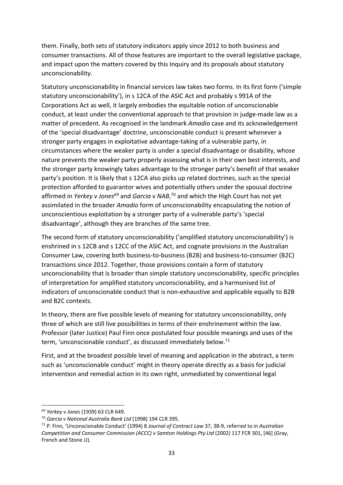them. Finally, both sets of statutory indicators apply since 2012 to both business and consumer transactions. All of those features are important to the overall legislative package, and impact upon the matters covered by this Inquiry and its proposals about statutory unconscionability.

Statutory unconscionability in financial services law takes two forms. In its first form ('simple statutory unconscionability'), in s 12CA of the ASIC Act and probably s 991A of the Corporations Act as well, it largely embodies the equitable notion of unconscionable conduct, at least under the conventional approach to that provision in judge-made law as a matter of precedent. As recognised in the landmark *Amadio* case and its acknowledgement of the 'special disadvantage' doctrine, unconscionable conduct is present whenever a stronger party engages in exploitative advantage-taking of a vulnerable party, in circumstances where the weaker party is under a special disadvantage or disability, whose nature prevents the weaker party properly assessing what is in their own best interests, and the stronger party knowingly takes advantage to the stronger party's benefit of that weaker party's position. It is likely that s 12CA also picks up related doctrines, such as the special protection afforded to guarantor wives and potentially others under the spousal doctrine affirmed in *Yerkey v Jones<sup>69</sup>* and *Garcia v NAB*,<sup>70</sup> and which the High Court has not yet assimilated in the broader *Amadio* form of unconscionability encapsulating the notion of unconscientious exploitation by a stronger party of a vulnerable party's 'special disadvantage', although they are branches of the same tree.

The second form of statutory unconscionability ('amplified statutory unconscionability') is enshrined in s 12CB and s 12CC of the ASIC Act, and cognate provisions in the Australian Consumer Law, covering both business-to-business (B2B) and business-to-consumer (B2C) transactions since 2012. Together, those provisions contain a form of statutory unconscionability that is broader than simple statutory unconscionability, specific principles of interpretation for amplified statutory unconscionability, and a harmonised list of indicators of unconscionable conduct that is non-exhaustive and applicable equally to B2B and B2C contexts.

In theory, there are five possible levels of meaning for statutory unconscionability, only three of which are still live possibilities in terms of their enshrinement within the law. Professor (later Justice) Paul Finn once postulated four possible meanings and uses of the term, 'unconscionable conduct', as discussed immediately below.<sup>71</sup>

First, and at the broadest possible level of meaning and application in the abstract, a term such as 'unconscionable conduct' might in theory operate directly as a basis for judicial intervention and remedial action in its own right, unmediated by conventional legal

<sup>69</sup> *Yerkey v Jones* (1939) 63 CLR 649.

<sup>70</sup> *Garcia v National Australia Bank Ltd* (1998) 194 CLR 395.

<sup>71</sup> P. Finn, 'Unconscionable Conduct' (1994) 8 *Journal of Contract Law* 37, 38-9, referred to in *Australian Competition and Consumer Commission (ACCC) v Samton Holdings Pty Ltd* (2002) 117 FCR 301, [46] (Gray, French and Stone JJ).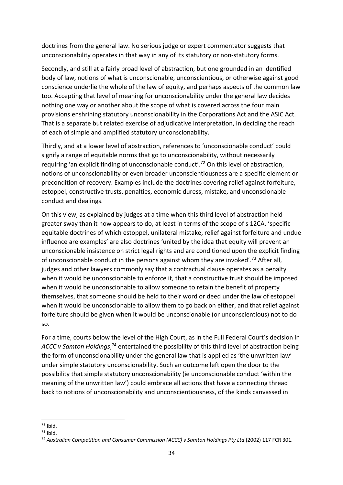doctrines from the general law. No serious judge or expert commentator suggests that unconscionability operates in that way in any of its statutory or non-statutory forms.

Secondly, and still at a fairly broad level of abstraction, but one grounded in an identified body of law, notions of what is unconscionable, unconscientious, or otherwise against good conscience underlie the whole of the law of equity, and perhaps aspects of the common law too. Accepting that level of meaning for unconscionability under the general law decides nothing one way or another about the scope of what is covered across the four main provisions enshrining statutory unconscionability in the Corporations Act and the ASIC Act. That is a separate but related exercise of adjudicative interpretation, in deciding the reach of each of simple and amplified statutory unconscionability.

Thirdly, and at a lower level of abstraction, references to 'unconscionable conduct' could signify a range of equitable norms that go to unconscionability, without necessarily requiring 'an explicit finding of unconscionable conduct'.72 On this level of abstraction, notions of unconscionability or even broader unconscientiousness are a specific element or precondition of recovery. Examples include the doctrines covering relief against forfeiture, estoppel, constructive trusts, penalties, economic duress, mistake, and unconscionable conduct and dealings.

On this view, as explained by judges at a time when this third level of abstraction held greater sway than it now appears to do, at least in terms of the scope of s 12CA, 'specific equitable doctrines of which estoppel, unilateral mistake, relief against forfeiture and undue influence are examples' are also doctrines 'united by the idea that equity will prevent an unconscionable insistence on strict legal rights and are conditioned upon the explicit finding of unconscionable conduct in the persons against whom they are invoked'.73 After all, judges and other lawyers commonly say that a contractual clause operates as a penalty when it would be unconscionable to enforce it, that a constructive trust should be imposed when it would be unconscionable to allow someone to retain the benefit of property themselves, that someone should be held to their word or deed under the law of estoppel when it would be unconscionable to allow them to go back on either, and that relief against forfeiture should be given when it would be unconscionable (or unconscientious) not to do so.

For a time, courts below the level of the High Court, as in the Full Federal Court's decision in ACCC v Samton Holdings,<sup>74</sup> entertained the possibility of this third level of abstraction being the form of unconscionability under the general law that is applied as 'the unwritten law' under simple statutory unconscionability. Such an outcome left open the door to the possibility that simple statutory unconscionability (ie unconscionable conduct 'within the meaning of the unwritten law') could embrace all actions that have a connecting thread back to notions of unconscionability and unconscientiousness, of the kinds canvassed in

 $72$  Ibid.

<sup>73</sup> Ibid.

<sup>74</sup> *Australian Competition and Consumer Commission (ACCC) v Samton Holdings Pty Ltd* (2002) 117 FCR 301.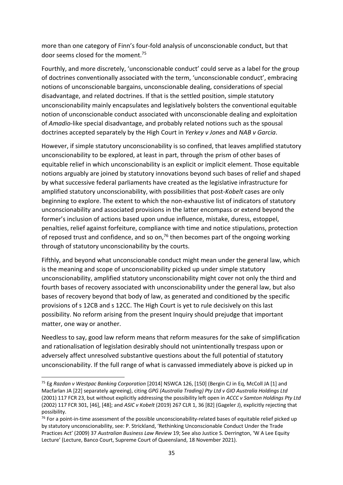more than one category of Finn's four-fold analysis of unconscionable conduct, but that door seems closed for the moment.<sup>75</sup>

Fourthly, and more discretely, 'unconscionable conduct' could serve as a label for the group of doctrines conventionally associated with the term, 'unconscionable conduct', embracing notions of unconscionable bargains, unconscionable dealing, considerations of special disadvantage, and related doctrines. If that is the settled position, simple statutory unconscionability mainly encapsulates and legislatively bolsters the conventional equitable notion of unconscionable conduct associated with unconscionable dealing and exploitation of *Amadio*-like special disadvantage, and probably related notions such as the spousal doctrines accepted separately by the High Court in *Yerkey v Jones* and *NAB v Garcia*.

However, if simple statutory unconscionability is so confined, that leaves amplified statutory unconscionability to be explored, at least in part, through the prism of other bases of equitable relief in which unconscionability is an explicit or implicit element. Those equitable notions arguably are joined by statutory innovations beyond such bases of relief and shaped by what successive federal parliaments have created as the legislative infrastructure for amplified statutory unconscionability, with possibilities that post-*Kobelt* cases are only beginning to explore. The extent to which the non-exhaustive list of indicators of statutory unconscionability and associated provisions in the latter encompass or extend beyond the former's inclusion of actions based upon undue influence, mistake, duress, estoppel, penalties, relief against forfeiture, compliance with time and notice stipulations, protection of reposed trust and confidence, and so on,<sup>76</sup> then becomes part of the ongoing working through of statutory unconscionability by the courts.

Fifthly, and beyond what unconscionable conduct might mean under the general law, which is the meaning and scope of unconscionability picked up under simple statutory unconscionability, amplified statutory unconscionability might cover not only the third and fourth bases of recovery associated with unconscionability under the general law, but also bases of recovery beyond that body of law, as generated and conditioned by the specific provisions of s 12CB and s 12CC. The High Court is yet to rule decisively on this last possibility. No reform arising from the present Inquiry should prejudge that important matter, one way or another.

Needless to say, good law reform means that reform measures for the sake of simplification and rationalisation of legislation desirably should not unintentionally trespass upon or adversely affect unresolved substantive questions about the full potential of statutory unconscionability. If the full range of what is canvassed immediately above is picked up in

<sup>75</sup> Eg *Razdan v Westpac Banking Corporation* [2014] NSWCA 126, [150] (Bergin CJ in Eq, McColl JA [1] and Macfarlan JA [22] separately agreeing), citing *GPG (Australia Trading) Pty Ltd v GIO Australia Holdings Ltd* (2001) 117 FCR 23, but without explicitly addressing the possibility left open in *ACCC v Samton Holdings Pty Ltd* (2002) 117 FCR 301, [46], [48]; and *ASIC v Kobelt* (2019) 267 CLR 1, 36 [82] (Gageler J), explicitly rejecting that possibility.

<sup>&</sup>lt;sup>76</sup> For a point-in-time assessment of the possible unconscionability-related bases of equitable relief picked up by statutory unconscionability, see: P. Strickland, 'Rethinking Unconscionable Conduct Under the Trade Practices Act' (2009) 37 *Australian Business Law Review* 19; See also Justice S. Derrington, 'W A Lee Equity Lecture' (Lecture, Banco Court, Supreme Court of Queensland, 18 November 2021).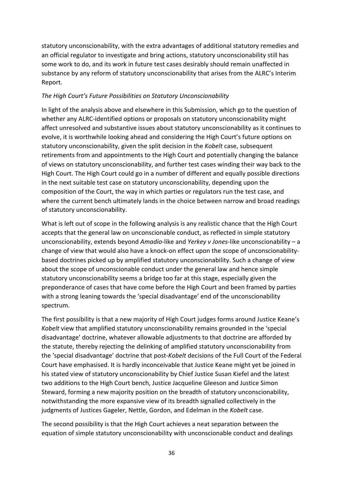statutory unconscionability, with the extra advantages of additional statutory remedies and an official regulator to investigate and bring actions, statutory unconscionability still has some work to do, and its work in future test cases desirably should remain unaffected in substance by any reform of statutory unconscionability that arises from the ALRC's Interim Report.

## *The High Court's Future Possibilities on Statutory Unconscionability*

In light of the analysis above and elsewhere in this Submission, which go to the question of whether any ALRC-identified options or proposals on statutory unconscionability might affect unresolved and substantive issues about statutory unconscionability as it continues to evolve, it is worthwhile looking ahead and considering the High Court's future options on statutory unconscionability, given the split decision in the *Kobelt* case, subsequent retirements from and appointments to the High Court and potentially changing the balance of views on statutory unconscionability, and further test cases winding their way back to the High Court. The High Court could go in a number of different and equally possible directions in the next suitable test case on statutory unconscionability, depending upon the composition of the Court, the way in which parties or regulators run the test case, and where the current bench ultimately lands in the choice between narrow and broad readings of statutory unconscionability.

What is left out of scope in the following analysis is any realistic chance that the High Court accepts that the general law on unconscionable conduct, as reflected in simple statutory unconscionability, extends beyond *Amadio*-like and *Yerkey v Jones*-like unconscionability – a change of view that would also have a knock-on effect upon the scope of unconscionabilitybased doctrines picked up by amplified statutory unconscionability. Such a change of view about the scope of unconscionable conduct under the general law and hence simple statutory unconscionability seems a bridge too far at this stage, especially given the preponderance of cases that have come before the High Court and been framed by parties with a strong leaning towards the 'special disadvantage' end of the unconscionability spectrum.

The first possibility is that a new majority of High Court judges forms around Justice Keane's *Kobelt* view that amplified statutory unconscionability remains grounded in the 'special disadvantage' doctrine, whatever allowable adjustments to that doctrine are afforded by the statute, thereby rejecting the delinking of amplified statutory unconscionability from the 'special disadvantage' doctrine that post-*Kobelt* decisions of the Full Court of the Federal Court have emphasised. It is hardly inconceivable that Justice Keane might yet be joined in his stated view of statutory unconscionability by Chief Justice Susan Kiefel and the latest two additions to the High Court bench, Justice Jacqueline Gleeson and Justice Simon Steward, forming a new majority position on the breadth of statutory unconscionability, notwithstanding the more expansive view of its breadth signalled collectively in the judgments of Justices Gageler, Nettle, Gordon, and Edelman in the *Kobelt* case.

The second possibility is that the High Court achieves a neat separation between the equation of simple statutory unconscionability with unconscionable conduct and dealings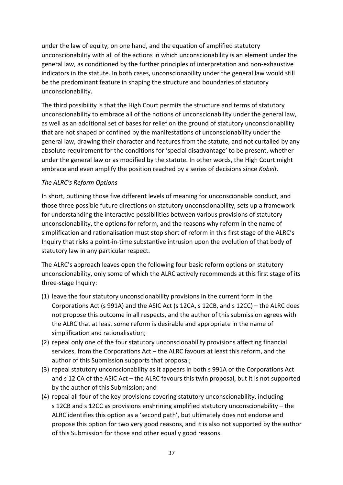under the law of equity, on one hand, and the equation of amplified statutory unconscionability with all of the actions in which unconscionability is an element under the general law, as conditioned by the further principles of interpretation and non-exhaustive indicators in the statute. In both cases, unconscionability under the general law would still be the predominant feature in shaping the structure and boundaries of statutory unconscionability.

The third possibility is that the High Court permits the structure and terms of statutory unconscionability to embrace all of the notions of unconscionability under the general law, as well as an additional set of bases for relief on the ground of statutory unconscionability that are not shaped or confined by the manifestations of unconscionability under the general law, drawing their character and features from the statute, and not curtailed by any absolute requirement for the conditions for 'special disadvantage' to be present, whether under the general law or as modified by the statute. In other words, the High Court might embrace and even amplify the position reached by a series of decisions since *Kobelt*.

## *The ALRC's Reform Options*

In short, outlining those five different levels of meaning for unconscionable conduct, and those three possible future directions on statutory unconscionability, sets up a framework for understanding the interactive possibilities between various provisions of statutory unconscionability, the options for reform, and the reasons why reform in the name of simplification and rationalisation must stop short of reform in this first stage of the ALRC's Inquiry that risks a point-in-time substantive intrusion upon the evolution of that body of statutory law in any particular respect.

The ALRC's approach leaves open the following four basic reform options on statutory unconscionability, only some of which the ALRC actively recommends at this first stage of its three-stage Inquiry:

- (1) leave the four statutory unconscionability provisions in the current form in the Corporations Act (s 991A) and the ASIC Act (s 12CA, s 12CB, and s 12CC) – the ALRC does not propose this outcome in all respects, and the author of this submission agrees with the ALRC that at least some reform is desirable and appropriate in the name of simplification and rationalisation;
- (2) repeal only one of the four statutory unconscionability provisions affecting financial services, from the Corporations Act – the ALRC favours at least this reform, and the author of this Submission supports that proposal;
- (3) repeal statutory unconscionability as it appears in both s 991A of the Corporations Act and s 12 CA of the ASIC Act – the ALRC favours this twin proposal, but it is not supported by the author of this Submission; and
- (4) repeal all four of the key provisions covering statutory unconscionability, including s 12CB and s 12CC as provisions enshrining amplified statutory unconscionability – the ALRC identifies this option as a 'second path', but ultimately does not endorse and propose this option for two very good reasons, and it is also not supported by the author of this Submission for those and other equally good reasons.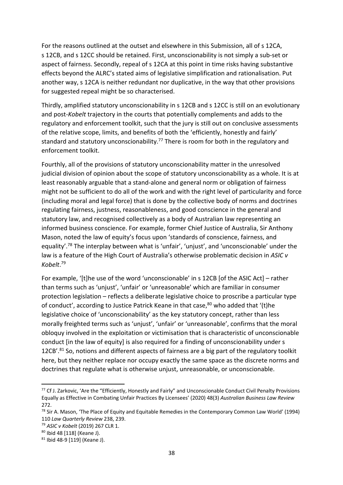For the reasons outlined at the outset and elsewhere in this Submission, all of s 12CA, s 12CB, and s 12CC should be retained. First, unconscionability is not simply a sub-set or aspect of fairness. Secondly, repeal of s 12CA at this point in time risks having substantive effects beyond the ALRC's stated aims of legislative simplification and rationalisation. Put another way, s 12CA is neither redundant nor duplicative, in the way that other provisions for suggested repeal might be so characterised.

Thirdly, amplified statutory unconscionability in s 12CB and s 12CC is still on an evolutionary and post-*Kobelt* trajectory in the courts that potentially complements and adds to the regulatory and enforcement toolkit, such that the jury is still out on conclusive assessments of the relative scope, limits, and benefits of both the 'efficiently, honestly and fairly' standard and statutory unconscionability.<sup>77</sup> There is room for both in the regulatory and enforcement toolkit.

Fourthly, all of the provisions of statutory unconscionability matter in the unresolved judicial division of opinion about the scope of statutory unconscionability as a whole. It is at least reasonably arguable that a stand-alone and general norm or obligation of fairness might not be sufficient to do all of the work and with the right level of particularity and force (including moral and legal force) that is done by the collective body of norms and doctrines regulating fairness, justness, reasonableness, and good conscience in the general and statutory law, and recognised collectively as a body of Australian law representing an informed business conscience. For example, former Chief Justice of Australia, Sir Anthony Mason, noted the law of equity's focus upon 'standards of conscience, fairness, and equality'.78 The interplay between what is 'unfair', 'unjust', and 'unconscionable' under the law is a feature of the High Court of Australia's otherwise problematic decision in *ASIC v Kobelt*. 79

For example, '[t]he use of the word 'unconscionable' in s 12CB [of the ASIC Act] – rather than terms such as 'unjust', 'unfair' or 'unreasonable' which are familiar in consumer protection legislation – reflects a deliberate legislative choice to proscribe a particular type of conduct', according to Justice Patrick Keane in that case, $80$  who added that '(t)he legislative choice of 'unconscionability' as the key statutory concept, rather than less morally freighted terms such as 'unjust', 'unfair' or 'unreasonable', confirms that the moral obloquy involved in the exploitation or victimisation that is characteristic of unconscionable conduct [in the law of equity] is also required for a finding of unconscionability under s 12CB'.<sup>81</sup> So, notions and different aspects of fairness are a big part of the regulatory toolkit here, but they neither replace nor occupy exactly the same space as the discrete norms and doctrines that regulate what is otherwise unjust, unreasonable, or unconscionable.

<sup>&</sup>lt;sup>77</sup> Cf J. Zarkovic, 'Are the "Efficiently, Honestly and Fairly" and Unconscionable Conduct Civil Penalty Provisions Equally as Effective in Combating Unfair Practices By Licensees' (2020) 48(3) *Australian Business Law Review* 272.

<sup>&</sup>lt;sup>78</sup> Sir A. Mason, 'The Place of Equity and Equitable Remedies in the Contemporary Common Law World' (1994) 110 *Law Quarterly Review* 238, 239.

<sup>79</sup> *ASIC v Kobelt* (2019) 267 CLR 1. 80 Ibid 48 [118] (Keane J).

<sup>81</sup> Ibid 48-9 [119] (Keane J).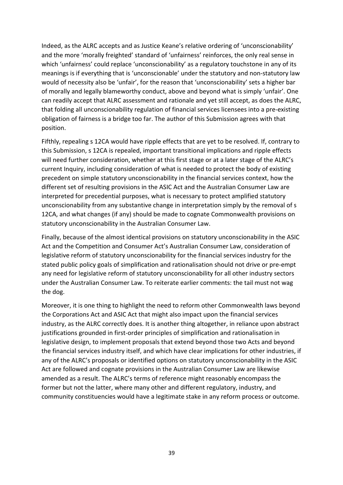Indeed, as the ALRC accepts and as Justice Keane's relative ordering of 'unconscionability' and the more 'morally freighted' standard of 'unfairness' reinforces, the only real sense in which 'unfairness' could replace 'unconscionability' as a regulatory touchstone in any of its meanings is if everything that is 'unconscionable' under the statutory and non-statutory law would of necessity also be 'unfair', for the reason that 'unconscionability' sets a higher bar of morally and legally blameworthy conduct, above and beyond what is simply 'unfair'. One can readily accept that ALRC assessment and rationale and yet still accept, as does the ALRC, that folding all unconscionability regulation of financial services licensees into a pre-existing obligation of fairness is a bridge too far. The author of this Submission agrees with that position.

Fifthly, repealing s 12CA would have ripple effects that are yet to be resolved. If, contrary to this Submission, s 12CA is repealed, important transitional implications and ripple effects will need further consideration, whether at this first stage or at a later stage of the ALRC's current Inquiry, including consideration of what is needed to protect the body of existing precedent on simple statutory unconscionability in the financial services context, how the different set of resulting provisions in the ASIC Act and the Australian Consumer Law are interpreted for precedential purposes, what is necessary to protect amplified statutory unconscionability from any substantive change in interpretation simply by the removal of s 12CA, and what changes (if any) should be made to cognate Commonwealth provisions on statutory unconscionability in the Australian Consumer Law.

Finally, because of the almost identical provisions on statutory unconscionability in the ASIC Act and the Competition and Consumer Act's Australian Consumer Law, consideration of legislative reform of statutory unconscionability for the financial services industry for the stated public policy goals of simplification and rationalisation should not drive or pre-empt any need for legislative reform of statutory unconscionability for all other industry sectors under the Australian Consumer Law. To reiterate earlier comments: the tail must not wag the dog.

Moreover, it is one thing to highlight the need to reform other Commonwealth laws beyond the Corporations Act and ASIC Act that might also impact upon the financial services industry, as the ALRC correctly does. It is another thing altogether, in reliance upon abstract justifications grounded in first-order principles of simplification and rationalisation in legislative design, to implement proposals that extend beyond those two Acts and beyond the financial services industry itself, and which have clear implications for other industries, if any of the ALRC's proposals or identified options on statutory unconscionability in the ASIC Act are followed and cognate provisions in the Australian Consumer Law are likewise amended as a result. The ALRC's terms of reference might reasonably encompass the former but not the latter, where many other and different regulatory, industry, and community constituencies would have a legitimate stake in any reform process or outcome.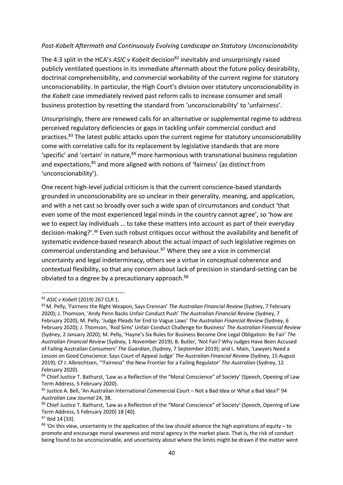## *Post-Kobelt Aftermath and Continuously Evolving Landscape on Statutory Unconscionability*

The 4:3 split in the HCA's *ASIC v Kobelt* decision<sup>82</sup> inevitably and unsurprisingly raised publicly ventilated questions in its immediate aftermath about the future policy desirability, doctrinal comprehensibility, and commercial workability of the current regime for statutory unconscionability. In particular, the High Court's division over statutory unconscionability in the *Kobelt* case immediately revived past reform calls to increase consumer and small business protection by resetting the standard from 'unconscionability' to 'unfairness'.

Unsurprisingly, there are renewed calls for an alternative or supplemental regime to address perceived regulatory deficiencies or gaps in tackling unfair commercial conduct and practices.<sup>83</sup> The latest public attacks upon the current regime for statutory unconscionability come with correlative calls for its replacement by legislative standards that are more 'specific' and 'certain' in nature, $84$  more harmonious with transnational business regulation and expectations, 85 and more aligned with notions of 'fairness' (as distinct from 'unconscionability').

One recent high-level judicial criticism is that the current conscience-based standards grounded in unconscionability are so unclear in their generality, meaning, and application, and with a net cast so broadly over such a wide span of circumstances and conduct 'that even some of the most experienced legal minds in the country cannot agree', so 'how are we to expect lay individuals … to take these matters into account as part of their everyday decision-making?'.<sup>86</sup> Even such robust critiques occur without the availability and benefit of systematic evidence-based research about the actual impact of such legislative regimes on commercial understanding and behaviour.87 Where they see a vice in commercial uncertainty and legal indeterminacy, others see a virtue in conceptual coherence and contextual flexibility, so that any concern about lack of precision in standard-setting can be obviated to a degree by a precautionary approach.<sup>88</sup>

<sup>&</sup>lt;sup>82</sup> ASIC *v Kobelt* (2019) 267 CLR 1.<br><sup>83</sup> M. Pelly, 'Fairness the Right Weapon, Says Crennan' *The Australian Financial Review* (Sydney, 7 February 2020); J. Thomson, 'Andy Penn Backs Unfair Conduct Push' *The Australian Financial Review* (Sydney, 7 February 2020); M. Pelly, 'Judge Pleads for End to Vague Laws' *The Australian Financial Review* (Sydney, 6 February 2020); J. Thomson, 'Rod Sims' Unfair Conduct Challenge for Business' *The Australian Financial Review* (Sydney, 2 January 2020); M. Pelly, 'Hayne's Six Rules for Business Become One Legal Obligation: Be Fair' *The Australian Financial Review* (Sydney, 1 November 2019); B. Butler, 'Not Fair? Why Judges Have Been Accused of Failing Australian Consumers' *The Guardian*, (Sydney, 7 September 2019); and L. Main, 'Lawyers Need a Lesson on Good Conscience: Says Court of Appeal Judge' *The Australian Financial Review* (Sydney, 15 August 2019); Cf J. Albrechtsen, '"Fairness" the New Frontier for a Failing Regulator' *The Australian* (Sydney, 12 February 2020).

<sup>84</sup> Chief Justice T. Bathurst, 'Law as a Reflection of the "Moral Conscience" of Society' (Speech, Opening of Law Term Address, 5 February 2020).

<sup>85</sup> Justice A. Bell, 'An Australian International Commercial Court – Not a Bad Idea or What a Bad Idea?' 94 *Australian Law Journal* 24, 38.

<sup>86</sup> Chief Justice T. Bathurst, 'Law as a Reflection of the "Moral Conscience" of Society' (Speech, Opening of Law Term Address, 5 February 2020) 18 [40].

<sup>&</sup>lt;sup>87</sup> Ibid 14 [33].<br><sup>88</sup> 'On this view, uncertainty in the application of the law should advance the high aspirations of equity – to promote and encourage moral awareness and moral agency in the market place. That is, the risk of conduct being found to be unconscionable, and uncertainty about where the limits might be drawn if the matter went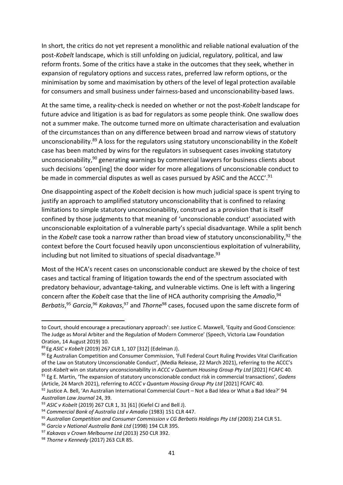In short, the critics do not yet represent a monolithic and reliable national evaluation of the post-*Kobelt* landscape, which is still unfolding on judicial, regulatory, political, and law reform fronts. Some of the critics have a stake in the outcomes that they seek, whether in expansion of regulatory options and success rates, preferred law reform options, or the minimisation by some and maximisation by others of the level of legal protection available for consumers and small business under fairness-based and unconscionability-based laws.

At the same time, a reality-check is needed on whether or not the post-*Kobelt* landscape for future advice and litigation is as bad for regulators as some people think. One swallow does not a summer make. The outcome turned more on ultimate characterisation and evaluation of the circumstances than on any difference between broad and narrow views of statutory unconscionability.89 A loss for the regulators using statutory unconscionability in the *Kobelt* case has been matched by wins for the regulators in subsequent cases invoking statutory unconscionability, $90$  generating warnings by commercial lawyers for business clients about such decisions 'open[ing] the door wider for more allegations of unconscionable conduct to be made in commercial disputes as well as cases pursued by ASIC and the ACCC'.<sup>91</sup>

One disappointing aspect of the *Kobelt* decision is how much judicial space is spent trying to justify an approach to amplified statutory unconscionability that is confined to relaxing limitations to simple statutory unconscionability, construed as a provision that is itself confined by those judgments to that meaning of 'unconscionable conduct' associated with unconscionable exploitation of a vulnerable party's special disadvantage. While a split bench in the *Kobelt* case took a narrow rather than broad view of statutory unconscionability,<sup>92</sup> the context before the Court focused heavily upon unconscientious exploitation of vulnerability, including but not limited to situations of special disadvantage. $93$ 

Most of the HCA's recent cases on unconscionable conduct are skewed by the choice of test cases and tactical framing of litigation towards the end of the spectrum associated with predatory behaviour, advantage-taking, and vulnerable victims. One is left with a lingering concern after the *Kobelt* case that the line of HCA authority comprising the *Amadio*, 94 Berbatis,<sup>95</sup> *Garcia*,<sup>96</sup> *Kakavas*,<sup>97</sup> and *Thorne*<sup>98</sup> cases, focused upon the same discrete form of

to Court, should encourage a precautionary approach': see Justice C. Maxwell, 'Equity and Good Conscience: The Judge as Moral Arbiter and the Regulation of Modern Commerce' (Speech, Victoria Law Foundation Oration, 14 August 2019) 10.

<sup>89</sup> Eg *ASIC v Kobelt* (2019) 267 CLR 1, 107 [312] (Edelman J).

<sup>90</sup> Eg Australian Competition and Consumer Commission, 'Full Federal Court Ruling Provides Vital Clarification of the Law on Statutory Unconscionable Conduct', (Media Release, 22 March 2021), referring to the ACCC's post-*Kobelt* win on statutory unconscionability in *ACCC v Quantum Housing Group Pty Ltd* [2021] FCAFC 40. <sup>91</sup> Eg E. Martin, 'The expansion of statutory unconscionable conduct risk in commercial transactions', *Gadens*  (Article, 24 March 2021), referring to *ACCC v Quantum Housing Group Pty Ltd* [2021] FCAFC 40.

<sup>92</sup> Justice A. Bell, 'An Australian International Commercial Court – Not a Bad Idea or What a Bad Idea?' 94 *Australian Law Journal* 24, 39.

<sup>93</sup> *ASIC v Kobelt* (2019) 267 CLR 1, 31 [61] (Kiefel CJ and Bell J).

<sup>94</sup> *Commercial Bank of Australia Ltd v Amadio* (1983) 151 CLR 447.

<sup>&</sup>lt;sup>95</sup> Australian Competition and Consumer Commission v CG Berbatis Holdings Pty Ltd (2003) 214 CLR 51.<br><sup>96</sup> Garcia v National Australia Bank Ltd (1998) 194 CLR 395.<br><sup>97</sup> Kakavas v Crown Melbourne Ltd (2013) 250 CLR 392.<br><sup>9</sup>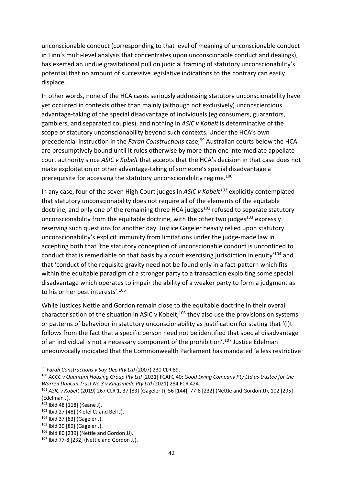unconscionable conduct (corresponding to that level of meaning of unconscionable conduct in Finn's multi-level analysis that concentrates upon unconscionable conduct and dealings), has exerted an undue gravitational pull on judicial framing of statutory unconscionability's potential that no amount of successive legislative indications to the contrary can easily displace.

In other words, none of the HCA cases seriously addressing statutory unconscionability have yet occurred in contexts other than mainly (although not exclusively) unconscientious advantage-taking of the special disadvantage of individuals (eg consumers, guarantors, gamblers, and separated couples), and nothing in *ASIC v Kobelt* is determinative of the scope of statutory unconscionability beyond such contexts. Under the HCA's own precedential instruction in the *Farah Constructions* case,<sup>99</sup> Australian courts below the HCA are presumptively bound until it rules otherwise by more than one intermediate appellate court authority since *ASIC v Kobelt* that accepts that the HCA's decision in that case does not make exploitation or other advantage-taking of someone's special disadvantage a prerequisite for accessing the statutory unconscionability regime.<sup>100</sup>

In any case, four of the seven High Court judges in *ASIC v Kobelt<sup>101</sup>* explicitly contemplated that statutory unconscionability does not require all of the elements of the equitable doctrine, and only one of the remaining three HCA judges<sup>102</sup> refused to separate statutory unconscionability from the equitable doctrine, with the other two judges<sup>103</sup> expressly reserving such questions for another day. Justice Gageler heavily relied upon statutory unconscionability's explicit immunity from limitations under the judge-made law in accepting both that 'the statutory conception of unconscionable conduct is unconfined to conduct that is remediable on that basis by a court exercising jurisdiction in equity'104 and that 'conduct of the requisite gravity need not be found only in a fact-pattern which fits within the equitable paradigm of a stronger party to a transaction exploiting some special disadvantage which operates to impair the ability of a weaker party to form a judgment as to his or her best interests'.105

While Justices Nettle and Gordon remain close to the equitable doctrine in their overall characterisation of the situation in ASIC v Kobelt,  $106$  they also use the provisions on systems or patterns of behaviour in statutory unconscionability as justification for stating that '(i)t follows from the fact that a specific person need not be identified that special disadvantage of an individual is not a necessary component of the prohibition'.<sup>107</sup> Justice Edelman unequivocally indicated that the Commonwealth Parliament has mandated 'a less restrictive

<sup>99</sup> *Farah Constructions v Say-Dee Pty Ltd* (2007) 230 CLR 89.

<sup>100</sup> *ACCC v Quantum Housing Group Pty Ltd* [2021] FCAFC 40; *Good Living Company Pty Ltd as trustee for the Warren Duncan Trust No 3 v Kingsmede Pty Ltd* (2021) 284 FCR 424.

<sup>101</sup> *ASIC v Kobelt* (2019) 267 CLR 1, 37 [83] (Gageler J), 56 [144], 77-8 [232] (Nettle and Gordon JJ), 102 [295] (Edelman J).

 $102$  Ibid 48 [118] (Keane J).

 $103$  Ibid 27 [48] (Kiefel CJ and Bell J).

<sup>104</sup> Ibid 37 [83] (Gageler J).

<sup>105</sup> Ibid 39 [89] (Gageler J).

<sup>&</sup>lt;sup>106</sup> Ibid 80 [239] (Nettle and Gordon JJ).<br><sup>107</sup> Ibid 77-8 [232] (Nettle and Gordon JJ).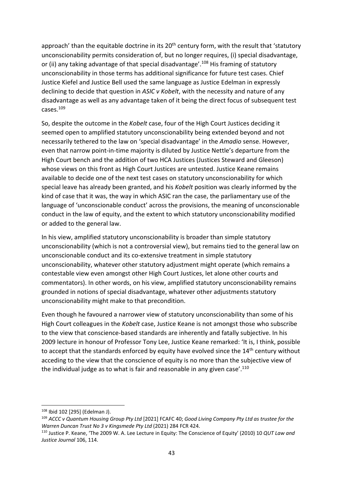approach' than the equitable doctrine in its 20<sup>th</sup> century form, with the result that 'statutory unconscionability permits consideration of, but no longer requires, (i) special disadvantage, or (ii) any taking advantage of that special disadvantage'.<sup>108</sup> His framing of statutory unconscionability in those terms has additional significance for future test cases. Chief Justice Kiefel and Justice Bell used the same language as Justice Edelman in expressly declining to decide that question in *ASIC v Kobelt*, with the necessity and nature of any disadvantage as well as any advantage taken of it being the direct focus of subsequent test cases.109

So, despite the outcome in the *Kobelt* case, four of the High Court Justices deciding it seemed open to amplified statutory unconscionability being extended beyond and not necessarily tethered to the law on 'special disadvantage' in the *Amadio* sense. However, even that narrow point-in-time majority is diluted by Justice Nettle's departure from the High Court bench and the addition of two HCA Justices (Justices Steward and Gleeson) whose views on this front as High Court Justices are untested. Justice Keane remains available to decide one of the next test cases on statutory unconscionability for which special leave has already been granted, and his *Kobelt* position was clearly informed by the kind of case that it was, the way in which ASIC ran the case, the parliamentary use of the language of 'unconscionable conduct' across the provisions, the meaning of unconscionable conduct in the law of equity, and the extent to which statutory unconscionability modified or added to the general law.

In his view, amplified statutory unconscionability is broader than simple statutory unconscionability (which is not a controversial view), but remains tied to the general law on unconscionable conduct and its co-extensive treatment in simple statutory unconscionability, whatever other statutory adjustment might operate (which remains a contestable view even amongst other High Court Justices, let alone other courts and commentators). In other words, on his view, amplified statutory unconscionability remains grounded in notions of special disadvantage, whatever other adjustments statutory unconscionability might make to that precondition.

Even though he favoured a narrower view of statutory unconscionability than some of his High Court colleagues in the *Kobelt* case, Justice Keane is not amongst those who subscribe to the view that conscience-based standards are inherently and fatally subjective. In his 2009 lecture in honour of Professor Tony Lee, Justice Keane remarked: 'It is, I think, possible to accept that the standards enforced by equity have evolved since the 14<sup>th</sup> century without acceding to the view that the conscience of equity is no more than the subjective view of the individual judge as to what is fair and reasonable in any given case'.<sup>110</sup>

<sup>108</sup> Ibid 102 [295] (Edelman J).

<sup>109</sup> *ACCC v Quantum Housing Group Pty Ltd* [2021] FCAFC 40; *Good Living Company Pty Ltd as trustee for the Warren Duncan Trust No 3 v Kingsmede Pty Ltd* (2021) 284 FCR 424.

<sup>110</sup> Justice P. Keane, 'The 2009 W. A. Lee Lecture in Equity: The Conscience of Equity' (2010) 10 *QUT Law and Justice Journal* 106, 114.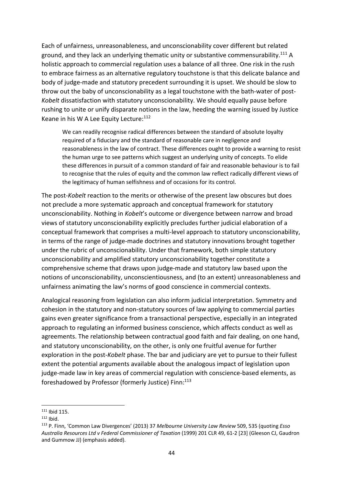Each of unfairness, unreasonableness, and unconscionability cover different but related ground, and they lack an underlying thematic unity or substantive commensurability.<sup>111</sup> A holistic approach to commercial regulation uses a balance of all three. One risk in the rush to embrace fairness as an alternative regulatory touchstone is that this delicate balance and body of judge-made and statutory precedent surrounding it is upset. We should be slow to throw out the baby of unconscionability as a legal touchstone with the bath-water of post-*Kobelt* dissatisfaction with statutory unconscionability. We should equally pause before rushing to unite or unify disparate notions in the law, heeding the warning issued by Justice Keane in his W A Lee Equity Lecture:<sup>112</sup>

We can readily recognise radical differences between the standard of absolute loyalty required of a fiduciary and the standard of reasonable care in negligence and reasonableness in the law of contract. These differences ought to provide a warning to resist the human urge to see patterns which suggest an underlying unity of concepts. To elide these differences in pursuit of a common standard of fair and reasonable behaviour is to fail to recognise that the rules of equity and the common law reflect radically different views of the legitimacy of human selfishness and of occasions for its control.

The post-*Kobelt* reaction to the merits or otherwise of the present law obscures but does not preclude a more systematic approach and conceptual framework for statutory unconscionability. Nothing in *Kobelt*'s outcome or divergence between narrow and broad views of statutory unconscionability explicitly precludes further judicial elaboration of a conceptual framework that comprises a multi-level approach to statutory unconscionability, in terms of the range of judge-made doctrines and statutory innovations brought together under the rubric of unconscionability. Under that framework, both simple statutory unconscionability and amplified statutory unconscionability together constitute a comprehensive scheme that draws upon judge-made and statutory law based upon the notions of unconscionability, unconscientiousness, and (to an extent) unreasonableness and unfairness animating the law's norms of good conscience in commercial contexts.

Analogical reasoning from legislation can also inform judicial interpretation. Symmetry and cohesion in the statutory and non-statutory sources of law applying to commercial parties gains even greater significance from a transactional perspective, especially in an integrated approach to regulating an informed business conscience, which affects conduct as well as agreements. The relationship between contractual good faith and fair dealing, on one hand, and statutory unconscionability, on the other, is only one fruitful avenue for further exploration in the post-*Kobelt* phase. The bar and judiciary are yet to pursue to their fullest extent the potential arguments available about the analogous impact of legislation upon judge-made law in key areas of commercial regulation with conscience-based elements, as foreshadowed by Professor (formerly Justice) Finn:<sup>113</sup>

 $111$  Ibid 115.<br> $112$  Ibid.

<sup>&</sup>lt;sup>113</sup> P. Finn, 'Common Law Divergences' (2013) 37 *Melbourne University Law Review* 509, 535 (quoting *Esso Australia Resources Ltd v Federal Commissioner of Taxation* (1999) 201 CLR 49, 61-2 [23] (Gleeson CJ, Gaudron and Gummow JJ) (emphasis added).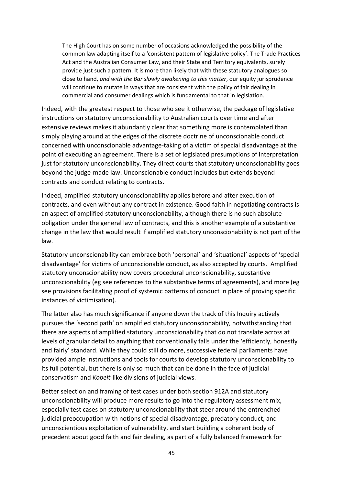The High Court has on some number of occasions acknowledged the possibility of the common law adapting itself to a 'consistent pattern of legislative policy'. The Trade Practices Act and the Australian Consumer Law, and their State and Territory equivalents, surely provide just such a pattern. It is more than likely that with these statutory analogues so close to hand, *and with the Bar slowly awakening to this matter*, our equity jurisprudence will continue to mutate in ways that are consistent with the policy of fair dealing in commercial and consumer dealings which is fundamental to that in legislation.

Indeed, with the greatest respect to those who see it otherwise, the package of legislative instructions on statutory unconscionability to Australian courts over time and after extensive reviews makes it abundantly clear that something more is contemplated than simply playing around at the edges of the discrete doctrine of unconscionable conduct concerned with unconscionable advantage-taking of a victim of special disadvantage at the point of executing an agreement. There is a set of legislated presumptions of interpretation just for statutory unconscionability. They direct courts that statutory unconscionability goes beyond the judge-made law. Unconscionable conduct includes but extends beyond contracts and conduct relating to contracts.

Indeed, amplified statutory unconscionability applies before and after execution of contracts, and even without any contract in existence. Good faith in negotiating contracts is an aspect of amplified statutory unconscionability, although there is no such absolute obligation under the general law of contracts, and this is another example of a substantive change in the law that would result if amplified statutory unconscionability is not part of the law.

Statutory unconscionability can embrace both 'personal' and 'situational' aspects of 'special disadvantage' for victims of unconscionable conduct, as also accepted by courts. Amplified statutory unconscionability now covers procedural unconscionability, substantive unconscionability (eg see references to the substantive terms of agreements), and more (eg see provisions facilitating proof of systemic patterns of conduct in place of proving specific instances of victimisation).

The latter also has much significance if anyone down the track of this Inquiry actively pursues the 'second path' on amplified statutory unconscionability, notwithstanding that there are aspects of amplified statutory unconscionability that do not translate across at levels of granular detail to anything that conventionally falls under the 'efficiently, honestly and fairly' standard. While they could still do more, successive federal parliaments have provided ample instructions and tools for courts to develop statutory unconscionability to its full potential, but there is only so much that can be done in the face of judicial conservatism and *Kobelt*-like divisions of judicial views.

Better selection and framing of test cases under both section 912A and statutory unconscionability will produce more results to go into the regulatory assessment mix, especially test cases on statutory unconscionability that steer around the entrenched judicial preoccupation with notions of special disadvantage, predatory conduct, and unconscientious exploitation of vulnerability, and start building a coherent body of precedent about good faith and fair dealing, as part of a fully balanced framework for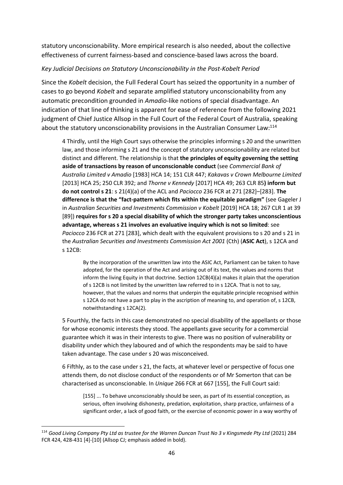statutory unconscionability. More empirical research is also needed, about the collective effectiveness of current fairness-based and conscience-based laws across the board.

## *Key Judicial Decisions on Statutory Unconscionability in the Post-Kobelt Period*

Since the *Kobelt* decision, the Full Federal Court has seized the opportunity in a number of cases to go beyond *Kobelt* and separate amplified statutory unconscionability from any automatic precondition grounded in *Amadio*-like notions of special disadvantage. An indication of that line of thinking is apparent for ease of reference from the following 2021 judgment of Chief Justice Allsop in the Full Court of the Federal Court of Australia, speaking about the statutory unconscionability provisions in the Australian Consumer Law:<sup>114</sup>

4 Thirdly, until the High Court says otherwise the principles informing s 20 and the unwritten law, and those informing s 21 and the concept of statutory unconscionability are related but distinct and different. The relationship is that **the principles of equity governing the setting aside of transactions by reason of unconscionable conduct** (see *Commercial Bank of Australia Limited v Amadio* [1983] HCA 14; 151 CLR 447; *Kakavas v Crown Melbourne Limited* [2013] HCA 25; 250 CLR 392; and *Thorne v Kennedy* [2017] HCA 49; 263 CLR 85**) inform but do not control s 21**: s 21(4)(a) of the ACL and *Paciocco* 236 FCR at 271 [282]–[283]. **The difference is that the "fact-pattern which fits within the equitable paradigm"** (see Gageler J in *Australian Securities and Investments Commission v Kobelt* [2019] HCA 18; 267 CLR 1 at 39 [89]) **requires for s 20 a special disability of which the stronger party takes unconscientious advantage, whereas s 21 involves an evaluative inquiry which is not so limited**: see *Paciocco* 236 FCR at 271 [283], which dealt with the equivalent provisions to s 20 and s 21 in the *Australian Securities and Investments Commission Act 2001* (Cth) (**ASIC Act**), s 12CA and s 12CB:

By the incorporation of the unwritten law into the ASIC Act, Parliament can be taken to have adopted, for the operation of the Act and arising out of its text, the values and norms that inform the living Equity in that doctrine. Section 12CB(4)(a) makes it plain that the operation of s 12CB is not limited by the unwritten law referred to in s 12CA. That is not to say, however, that the values and norms that underpin the equitable principle recognised within s 12CA do not have a part to play in the ascription of meaning to, and operation of, s 12CB, notwithstanding s 12CA(2).

5 Fourthly, the facts in this case demonstrated no special disability of the appellants or those for whose economic interests they stood. The appellants gave security for a commercial guarantee which it was in their interests to give. There was no position of vulnerability or disability under which they laboured and of which the respondents may be said to have taken advantage. The case under s 20 was misconceived.

6 Fifthly, as to the case under s 21, the facts, at whatever level or perspective of focus one attends them, do not disclose conduct of the respondents or of Mr Somerton that can be characterised as unconscionable. In *Unique* 266 FCR at 667 [155], the Full Court said:

[155] ... To behave unconscionably should be seen, as part of its essential conception, as serious, often involving dishonesty, predation, exploitation, sharp practice, unfairness of a significant order, a lack of good faith, or the exercise of economic power in a way worthy of

<sup>114</sup> *Good Living Company Pty Ltd as trustee for the Warren Duncan Trust No 3 v Kingsmede Pty Ltd* (2021) 284 FCR 424, 428-431 [4]-[10] (Allsop CJ; emphasis added in bold).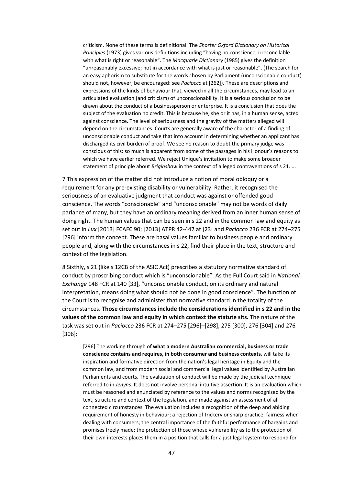criticism. None of these terms is definitional. The *Shorter Oxford Dictionary on Historical Principles* (1973) gives various definitions including "having no conscience, irreconcilable with what is right or reasonable". The *Macquarie Dictionary* (1985) gives the definition "unreasonably excessive; not in accordance with what is just or reasonable". (The search for an easy aphorism to substitute for the words chosen by Parliament (unconscionable conduct) should not, however, be encouraged: see *Paciocco* at [262]). These are descriptions and expressions of the kinds of behaviour that, viewed in all the circumstances, may lead to an articulated evaluation (and criticism) of unconscionability. It is a serious conclusion to be drawn about the conduct of a businessperson or enterprise. It is a conclusion that does the subject of the evaluation no credit. This is because he, she or it has, in a human sense, acted against conscience. The level of seriousness and the gravity of the matters alleged will depend on the circumstances. Courts are generally aware of the character of a finding of unconscionable conduct and take that into account in determining whether an applicant has discharged its civil burden of proof. We see no reason to doubt the primary judge was conscious of this: so much is apparent from some of the passages in his Honour's reasons to which we have earlier referred. We reject Unique's invitation to make some broader statement of principle about *Briginshaw* in the context of alleged contraventions of s 21. ...

7 This expression of the matter did not introduce a notion of moral obloquy or a requirement for any pre-existing disability or vulnerability. Rather, it recognised the seriousness of an evaluative judgment that conduct was against or offended good conscience. The words "conscionable" and "unconscionable" may not be words of daily parlance of many, but they have an ordinary meaning derived from an inner human sense of doing right. The human values that can be seen in s 22 and in the common law and equity as set out in *Lux* [2013] FCAFC 90; [2013] ATPR 42-447 at [23] and *Paciocco* 236 FCR at 274–275 [296] inform the concept. These are basal values familiar to business people and ordinary people and, along with the circumstances in s 22, find their place in the text, structure and context of the legislation.

8 Sixthly, s 21 (like s 12CB of the ASIC Act) prescribes a statutory normative standard of conduct by proscribing conduct which is "unconscionable". As the Full Court said in *National Exchange* 148 FCR at 140 [33], "unconscionable conduct, on its ordinary and natural interpretation, means doing what should not be done in good conscience". The function of the Court is to recognise and administer that normative standard in the totality of the circumstances. **Those circumstances include the considerations identified in s 22 and in the values of the common law and equity in which context the statute sits.** The nature of the task was set out in *Paciocco* 236 FCR at 274–275 [296]–[298], 275 [300], 276 [304] and 276 [306]:

[296] The working through of **what a modern Australian commercial, business or trade conscience contains and requires, in both consumer and business contexts**, will take its inspiration and formative direction from the nation's legal heritage in Equity and the common law, and from modern social and commercial legal values identified by Australian Parliaments and courts. The evaluation of conduct will be made by the judicial technique referred to in *Jenyns*. It does not involve personal intuitive assertion. It is an evaluation which must be reasoned and enunciated by reference to the values and norms recognised by the text, structure and context of the legislation, and made against an assessment of all connected circumstances. The evaluation includes a recognition of the deep and abiding requirement of honesty in behaviour; a rejection of trickery or sharp practice; fairness when dealing with consumers; the central importance of the faithful performance of bargains and promises freely made; the protection of those whose vulnerability as to the protection of their own interests places them in a position that calls for a just legal system to respond for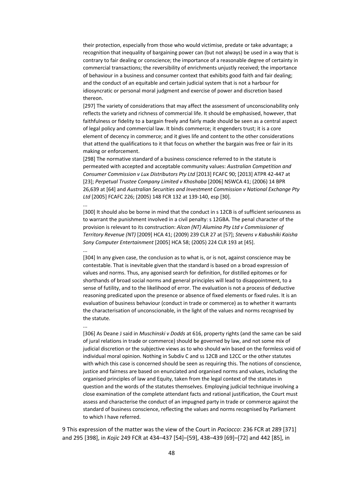their protection, especially from those who would victimise, predate or take advantage; a recognition that inequality of bargaining power can (but not always) be used in a way that is contrary to fair dealing or conscience; the importance of a reasonable degree of certainty in commercial transactions; the reversibility of enrichments unjustly received; the importance of behaviour in a business and consumer context that exhibits good faith and fair dealing; and the conduct of an equitable and certain judicial system that is not a harbour for idiosyncratic or personal moral judgment and exercise of power and discretion based thereon.

[297] The variety of considerations that may affect the assessment of unconscionability only reflects the variety and richness of commercial life. It should be emphasised, however, that faithfulness or fidelity to a bargain freely and fairly made should be seen as a central aspect of legal policy and commercial law. It binds commerce; it engenders trust; it is a core element of decency in commerce; and it gives life and content to the other considerations that attend the qualifications to it that focus on whether the bargain was free or fair in its making or enforcement.

[298] The normative standard of a business conscience referred to in the statute is permeated with accepted and acceptable community values: *Australian Competition and Consumer Commission v Lux Distributors Pty Ltd* [2013] FCAFC 90; [2013] ATPR 42-447 at [23]; *Perpetual Trustee Company Limited v Khoshaba* [2006] NSWCA 41; (2006) 14 BPR 26,639 at [64] and *Australian Securities and Investment Commission v National Exchange Pty Ltd* [2005] FCAFC 226; (2005) 148 FCR 132 at 139-140, esp [30].

[300] It should also be borne in mind that the conduct in s 12CB is of sufficient seriousness as to warrant the punishment involved in a civil penalty: s 12GBA. The penal character of the provision is relevant to its construction: *Alcan (NT) Alumina Pty Ltd v Commissioner of Territory Revenue (NT)* [2009] HCA 41; (2009) 239 CLR 27 at [57]; *Stevens v Kabushiki Kaisha Sony Computer Entertainment* [2005] HCA 58; (2005) 224 CLR 193 at [45].

[304] In any given case, the conclusion as to what is, or is not, against conscience may be contestable. That is inevitable given that the standard is based on a broad expression of values and norms. Thus, any agonised search for definition, for distilled epitomes or for shorthands of broad social norms and general principles will lead to disappointment, to a sense of futility, and to the likelihood of error. The evaluation is not a process of deductive reasoning predicated upon the presence or absence of fixed elements or fixed rules. It is an evaluation of business behaviour (conduct in trade or commerce) as to whether it warrants the characterisation of unconscionable, in the light of the values and norms recognised by the statute.

...

...

...

[306] As Deane J said in *Muschinski v Dodds* at 616, property rights (and the same can be said of jural relations in trade or commerce) should be governed by law, and not some mix of judicial discretion or the subjective views as to who should win based on the formless void of individual moral opinion. Nothing in Subdiv C and ss 12CB and 12CC or the other statutes with which this case is concerned should be seen as requiring this. The notions of conscience, justice and fairness are based on enunciated and organised norms and values, including the organised principles of law and Equity, taken from the legal context of the statutes in question and the words of the statutes themselves. Employing judicial technique involving a close examination of the complete attendant facts and rational justification, the Court must assess and characterise the conduct of an impugned party in trade or commerce against the standard of business conscience, reflecting the values and norms recognised by Parliament to which I have referred.

9 This expression of the matter was the view of the Court in *Paciocco*: 236 FCR at 289 [371] and 295 [398], in *Kojic* 249 FCR at 434–437 [54]–[59], 438–439 [69]–[72] and 442 [85], in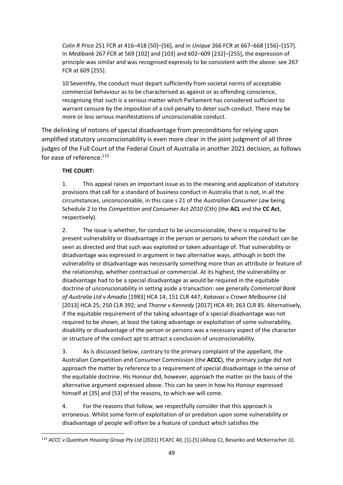*Colin R Price* 251 FCR at 416–418 [50]–[56], and in *Unique* 266 FCR at 667–668 [156]–[157]. In *Medibank* 267 FCR at 569 [102] and [103] and 602–609 [232]–[255], the expression of principle was similar and was recognised expressly to be consistent with the above: see 267 FCR at 609 [255].

10 Seventhly, the conduct must depart sufficiently from societal norms of acceptable commercial behaviour as to be characterised as against or as offending conscience, recognising that such is a serious matter which Parliament has considered sufficient to warrant censure by the imposition of a civil penalty to deter such conduct. There may be more or less serious manifestations of unconscionable conduct.

The delinking of notions of special disadvantage from preconditions for relying upon amplified statutory unconscionability is even more clear in the joint judgment of all three judges of the Full Court of the Federal Court of Australia in another 2021 decision, as follows for ease of reference: 115

## **THE COURT:**

1. This appeal raises an important issue as to the meaning and application of statutory provisions that call for a standard of business conduct in Australia that is not, in all the circumstances, unconscionable, in this case s 21 of the *Australian Consumer Law* being Schedule 2 to the *Competition and Consumer Act 2010* (Cth) (the **ACL** and the **CC Act**, respectively).

2. The issue is whether, for conduct to be unconscionable, there is required to be present vulnerability or disadvantage in the person or persons to whom the conduct can be seen as directed and that such was exploited or taken advantage of. That vulnerability or disadvantage was expressed in argument in two alternative ways, although in both the vulnerability or disadvantage was necessarily something more than an attribute or feature of the relationship, whether contractual or commercial. At its highest, the vulnerability or disadvantage had to be a special disadvantage as would be required in the equitable doctrine of unconscionability in setting aside a transaction: see generally *Commercial Bank of Australia Ltd v Amadio* [1983] HCA 14; 151 CLR 447; *Kakavas v Crown Melbourne Ltd*  [2013] HCA 25; 250 CLR 392; and *Thorne v Kennedy* [2017] HCA 49; 263 CLR 85. Alternatively, if the equitable requirement of the taking advantage of a special disadvantage was not required to be shown, at least the taking advantage or exploitation of some vulnerability, disability or disadvantage of the person or persons was a necessary aspect of the character or structure of the conduct apt to attract a conclusion of unconscionability.

3. As is discussed below, contrary to the primary complaint of the appellant, the Australian Competition and Consumer Commission (the **ACCC**), the primary judge did not approach the matter by reference to a requirement of special disadvantage in the sense of the equitable doctrine. His Honour did, however, approach the matter on the basis of the alternative argument expressed above. This can be seen in how his Honour expressed himself at [35] and [53] of the reasons, to which we will come.

4. For the reasons that follow, we respectfully consider that this approach is erroneous. Whilst some form of exploitation of or predation upon some vulnerability or disadvantage of people will often be a feature of conduct which satisfies the

<sup>115</sup> *ACCC v Quantum Housing Group Pty Ltd* [2021] FCAFC 40, [1]-[5] (Allsop CJ, Besanko and McKerracher JJ).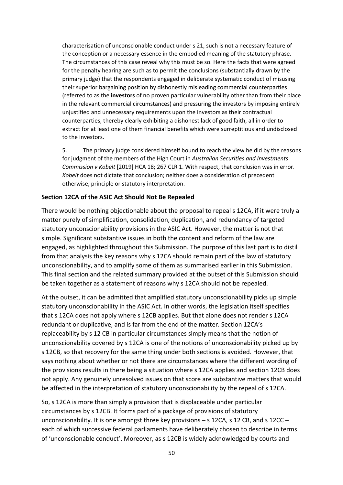characterisation of unconscionable conduct under s 21, such is not a necessary feature of the conception or a necessary essence in the embodied meaning of the statutory phrase. The circumstances of this case reveal why this must be so. Here the facts that were agreed for the penalty hearing are such as to permit the conclusions (substantially drawn by the primary judge) that the respondents engaged in deliberate systematic conduct of misusing their superior bargaining position by dishonestly misleading commercial counterparties (referred to as the **investors** of no proven particular vulnerability other than from their place in the relevant commercial circumstances) and pressuring the investors by imposing entirely unjustified and unnecessary requirements upon the investors as their contractual counterparties, thereby clearly exhibiting a dishonest lack of good faith, all in order to extract for at least one of them financial benefits which were surreptitious and undisclosed to the investors.

5. The primary judge considered himself bound to reach the view he did by the reasons for judgment of the members of the High Court in *Australian Securities and Investments Commission v Kobelt* [2019] HCA 18; 267 CLR 1. With respect, that conclusion was in error. *Kobelt* does not dictate that conclusion; neither does a consideration of precedent otherwise, principle or statutory interpretation.

### **Section 12CA of the ASIC Act Should Not Be Repealed**

There would be nothing objectionable about the proposal to repeal s 12CA, if it were truly a matter purely of simplification, consolidation, duplication, and redundancy of targeted statutory unconscionability provisions in the ASIC Act. However, the matter is not that simple. Significant substantive issues in both the content and reform of the law are engaged, as highlighted throughout this Submission. The purpose of this last part is to distil from that analysis the key reasons why s 12CA should remain part of the law of statutory unconscionability, and to amplify some of them as summarised earlier in this Submission. This final section and the related summary provided at the outset of this Submission should be taken together as a statement of reasons why s 12CA should not be repealed.

At the outset, it can be admitted that amplified statutory unconscionability picks up simple statutory unconscionability in the ASIC Act. In other words, the legislation itself specifies that s 12CA does not apply where s 12CB applies. But that alone does not render s 12CA redundant or duplicative, and is far from the end of the matter. Section 12CA's replaceability by s 12 CB in particular circumstances simply means that the notion of unconscionability covered by s 12CA is one of the notions of unconscionability picked up by s 12CB, so that recovery for the same thing under both sections is avoided. However, that says nothing about whether or not there are circumstances where the different wording of the provisions results in there being a situation where s 12CA applies and section 12CB does not apply. Any genuinely unresolved issues on that score are substantive matters that would be affected in the interpretation of statutory unconscionability by the repeal of s 12CA.

So, s 12CA is more than simply a provision that is displaceable under particular circumstances by s 12CB. It forms part of a package of provisions of statutory unconscionability. It is one amongst three key provisions – s 12CA, s 12 CB, and s 12CC – each of which successive federal parliaments have deliberately chosen to describe in terms of 'unconscionable conduct'. Moreover, as s 12CB is widely acknowledged by courts and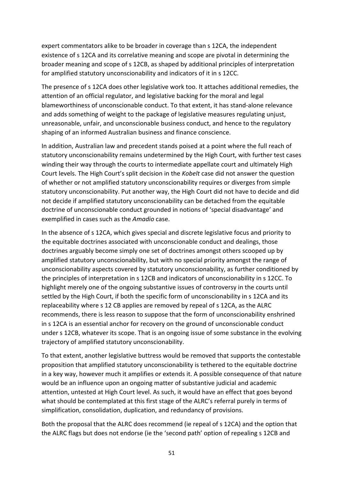expert commentators alike to be broader in coverage than s 12CA, the independent existence of s 12CA and its correlative meaning and scope are pivotal in determining the broader meaning and scope of s 12CB, as shaped by additional principles of interpretation for amplified statutory unconscionability and indicators of it in s 12CC.

The presence of s 12CA does other legislative work too. It attaches additional remedies, the attention of an official regulator, and legislative backing for the moral and legal blameworthiness of unconscionable conduct. To that extent, it has stand-alone relevance and adds something of weight to the package of legislative measures regulating unjust, unreasonable, unfair, and unconscionable business conduct, and hence to the regulatory shaping of an informed Australian business and finance conscience.

In addition, Australian law and precedent stands poised at a point where the full reach of statutory unconscionability remains undetermined by the High Court, with further test cases winding their way through the courts to intermediate appellate court and ultimately High Court levels. The High Court's split decision in the *Kobelt* case did not answer the question of whether or not amplified statutory unconscionability requires or diverges from simple statutory unconscionability. Put another way, the High Court did not have to decide and did not decide if amplified statutory unconscionability can be detached from the equitable doctrine of unconscionable conduct grounded in notions of 'special disadvantage' and exemplified in cases such as the *Amadio* case.

In the absence of s 12CA, which gives special and discrete legislative focus and priority to the equitable doctrines associated with unconscionable conduct and dealings, those doctrines arguably become simply one set of doctrines amongst others scooped up by amplified statutory unconscionability, but with no special priority amongst the range of unconscionability aspects covered by statutory unconscionability, as further conditioned by the principles of interpretation in s 12CB and indicators of unconscionability in s 12CC. To highlight merely one of the ongoing substantive issues of controversy in the courts until settled by the High Court, if both the specific form of unconscionability in s 12CA and its replaceability where s 12 CB applies are removed by repeal of s 12CA, as the ALRC recommends, there is less reason to suppose that the form of unconscionability enshrined in s 12CA is an essential anchor for recovery on the ground of unconscionable conduct under s 12CB, whatever its scope. That is an ongoing issue of some substance in the evolving trajectory of amplified statutory unconscionability.

To that extent, another legislative buttress would be removed that supports the contestable proposition that amplified statutory unconscionability is tethered to the equitable doctrine in a key way, however much it amplifies or extends it. A possible consequence of that nature would be an influence upon an ongoing matter of substantive judicial and academic attention, untested at High Court level. As such, it would have an effect that goes beyond what should be contemplated at this first stage of the ALRC's referral purely in terms of simplification, consolidation, duplication, and redundancy of provisions.

Both the proposal that the ALRC does recommend (ie repeal of s 12CA) and the option that the ALRC flags but does not endorse (ie the 'second path' option of repealing s 12CB and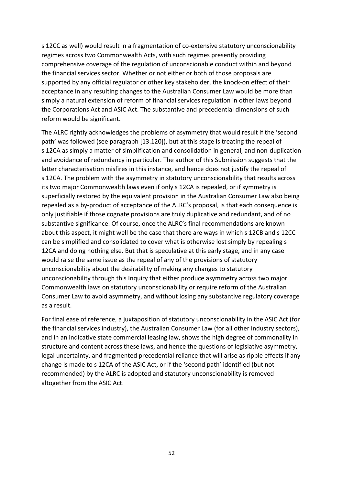s 12CC as well) would result in a fragmentation of co-extensive statutory unconscionability regimes across two Commonwealth Acts, with such regimes presently providing comprehensive coverage of the regulation of unconscionable conduct within and beyond the financial services sector. Whether or not either or both of those proposals are supported by any official regulator or other key stakeholder, the knock-on effect of their acceptance in any resulting changes to the Australian Consumer Law would be more than simply a natural extension of reform of financial services regulation in other laws beyond the Corporations Act and ASIC Act. The substantive and precedential dimensions of such reform would be significant.

The ALRC rightly acknowledges the problems of asymmetry that would result if the 'second path' was followed (see paragraph [13.120]), but at this stage is treating the repeal of s 12CA as simply a matter of simplification and consolidation in general, and non-duplication and avoidance of redundancy in particular. The author of this Submission suggests that the latter characterisation misfires in this instance, and hence does not justify the repeal of s 12CA. The problem with the asymmetry in statutory unconscionability that results across its two major Commonwealth laws even if only s 12CA is repealed, or if symmetry is superficially restored by the equivalent provision in the Australian Consumer Law also being repealed as a by-product of acceptance of the ALRC's proposal, is that each consequence is only justifiable if those cognate provisions are truly duplicative and redundant, and of no substantive significance. Of course, once the ALRC's final recommendations are known about this aspect, it might well be the case that there are ways in which s 12CB and s 12CC can be simplified and consolidated to cover what is otherwise lost simply by repealing s 12CA and doing nothing else. But that is speculative at this early stage, and in any case would raise the same issue as the repeal of any of the provisions of statutory unconscionability about the desirability of making any changes to statutory unconscionability through this Inquiry that either produce asymmetry across two major Commonwealth laws on statutory unconscionability or require reform of the Australian Consumer Law to avoid asymmetry, and without losing any substantive regulatory coverage as a result.

For final ease of reference, a juxtaposition of statutory unconscionability in the ASIC Act (for the financial services industry), the Australian Consumer Law (for all other industry sectors), and in an indicative state commercial leasing law, shows the high degree of commonality in structure and content across these laws, and hence the questions of legislative asymmetry, legal uncertainty, and fragmented precedential reliance that will arise as ripple effects if any change is made to s 12CA of the ASIC Act, or if the 'second path' identified (but not recommended) by the ALRC is adopted and statutory unconscionability is removed altogether from the ASIC Act.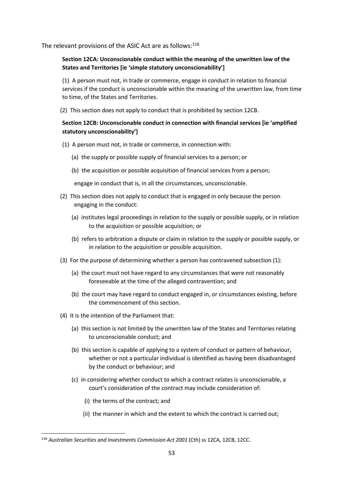The relevant provisions of the ASIC Act are as follows: $116$ 

### **Section 12CA: Unconscionable conduct within the meaning of the unwritten law of the States and Territories [ie 'simple statutory unconscionability']**

(1) A person must not, in trade or commerce, engage in conduct in relation to financial services if the conduct is unconscionable within the meaning of the unwritten law, from time to time, of the States and Territories.

(2) This section does not apply to conduct that is prohibited by section 12CB.

### **Section 12CB: Unconscionable conduct in connection with financial services [ie 'amplified statutory unconscionability']**

- (1) A person must not, in trade or commerce, in connection with:
	- (a) the supply or possible supply of financial services to a person; or
	- (b) the acquisition or possible acquisition of financial services from a person;

engage in conduct that is, in all the circumstances, unconscionable.

- (2) This section does not apply to conduct that is engaged in only because the person engaging in the conduct:
	- (a) institutes legal proceedings in relation to the supply or possible supply, or in relation to the acquisition or possible acquisition; or
	- (b) refers to arbitration a dispute or claim in relation to the supply or possible supply, or in relation to the acquisition or possible acquisition.
- (3) For the purpose of determining whether a person has contravened subsection (1):
	- (a) the court must not have regard to any circumstances that were not reasonably foreseeable at the time of the alleged contravention; and
	- (b) the court may have regard to conduct engaged in, or circumstances existing, before the commencement of this section.
- (4) It is the intention of the Parliament that:
	- (a) this section is not limited by the unwritten law of the States and Territories relating to unconscionable conduct; and
	- (b) this section is capable of applying to a system of conduct or pattern of behaviour, whether or not a particular individual is identified as having been disadvantaged by the conduct or behaviour; and
	- (c) in considering whether conduct to which a contract relates is unconscionable, a court's consideration of the contract may include consideration of:
		- (i) the terms of the contract; and
		- (ii) the manner in which and the extent to which the contract is carried out;

<sup>116</sup> *Australian Securities and Investments Commission Act 2001* (Cth) ss 12CA, 12CB, 12CC.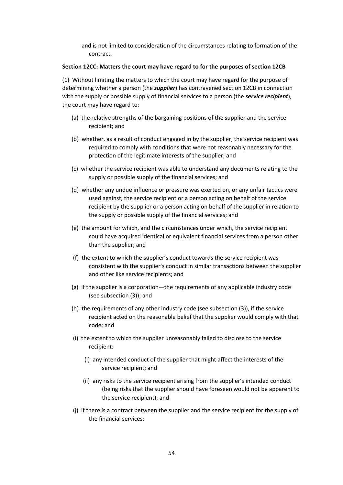and is not limited to consideration of the circumstances relating to formation of the contract.

#### **Section 12CC: Matters the court may have regard to for the purposes of section 12CB**

(1) Without limiting the matters to which the court may have regard for the purpose of determining whether a person (the *supplier*) has contravened section 12CB in connection with the supply or possible supply of financial services to a person (the *service recipient*), the court may have regard to:

- (a) the relative strengths of the bargaining positions of the supplier and the service recipient; and
- (b) whether, as a result of conduct engaged in by the supplier, the service recipient was required to comply with conditions that were not reasonably necessary for the protection of the legitimate interests of the supplier; and
- (c) whether the service recipient was able to understand any documents relating to the supply or possible supply of the financial services; and
- (d) whether any undue influence or pressure was exerted on, or any unfair tactics were used against, the service recipient or a person acting on behalf of the service recipient by the supplier or a person acting on behalf of the supplier in relation to the supply or possible supply of the financial services; and
- (e) the amount for which, and the circumstances under which, the service recipient could have acquired identical or equivalent financial services from a person other than the supplier; and
- (f) the extent to which the supplier's conduct towards the service recipient was consistent with the supplier's conduct in similar transactions between the supplier and other like service recipients; and
- (g) if the supplier is a corporation—the requirements of any applicable industry code (see subsection (3)); and
- (h) the requirements of any other industry code (see subsection (3)), if the service recipient acted on the reasonable belief that the supplier would comply with that code; and
- (i) the extent to which the supplier unreasonably failed to disclose to the service recipient:
	- (i) any intended conduct of the supplier that might affect the interests of the service recipient; and
	- (ii) any risks to the service recipient arising from the supplier's intended conduct (being risks that the supplier should have foreseen would not be apparent to the service recipient); and
- (j) if there is a contract between the supplier and the service recipient for the supply of the financial services: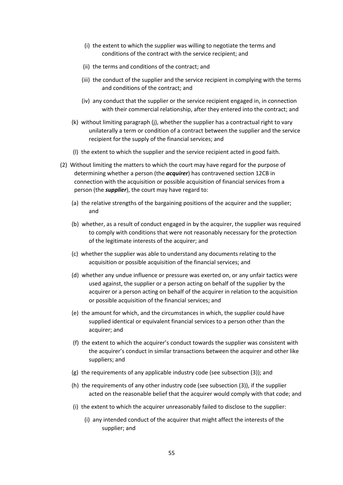- (i) the extent to which the supplier was willing to negotiate the terms and conditions of the contract with the service recipient; and
- (ii) the terms and conditions of the contract; and
- (iii) the conduct of the supplier and the service recipient in complying with the terms and conditions of the contract; and
- (iv) any conduct that the supplier or the service recipient engaged in, in connection with their commercial relationship, after they entered into the contract; and
- (k) without limiting paragraph (j), whether the supplier has a contractual right to vary unilaterally a term or condition of a contract between the supplier and the service recipient for the supply of the financial services; and
- (l) the extent to which the supplier and the service recipient acted in good faith.
- (2) Without limiting the matters to which the court may have regard for the purpose of determining whether a person (the *acquirer*) has contravened section 12CB in connection with the acquisition or possible acquisition of financial services from a person (the *supplier*), the court may have regard to:
	- (a) the relative strengths of the bargaining positions of the acquirer and the supplier; and
	- (b) whether, as a result of conduct engaged in by the acquirer, the supplier was required to comply with conditions that were not reasonably necessary for the protection of the legitimate interests of the acquirer; and
	- (c) whether the supplier was able to understand any documents relating to the acquisition or possible acquisition of the financial services; and
	- (d) whether any undue influence or pressure was exerted on, or any unfair tactics were used against, the supplier or a person acting on behalf of the supplier by the acquirer or a person acting on behalf of the acquirer in relation to the acquisition or possible acquisition of the financial services; and
	- (e) the amount for which, and the circumstances in which, the supplier could have supplied identical or equivalent financial services to a person other than the acquirer; and
	- (f) the extent to which the acquirer's conduct towards the supplier was consistent with the acquirer's conduct in similar transactions between the acquirer and other like suppliers; and
	- (g) the requirements of any applicable industry code (see subsection (3)); and
	- (h) the requirements of any other industry code (see subsection (3)), if the supplier acted on the reasonable belief that the acquirer would comply with that code; and
	- (i) the extent to which the acquirer unreasonably failed to disclose to the supplier:
		- (i) any intended conduct of the acquirer that might affect the interests of the supplier; and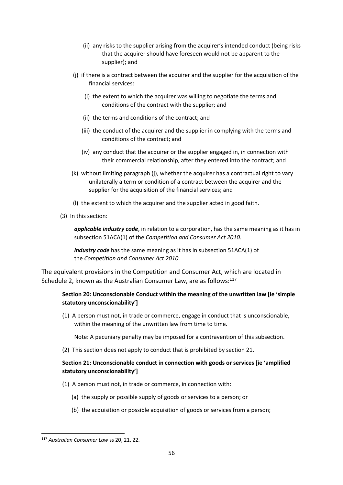- (ii) any risks to the supplier arising from the acquirer's intended conduct (being risks that the acquirer should have foreseen would not be apparent to the supplier); and
- (j) if there is a contract between the acquirer and the supplier for the acquisition of the financial services:
	- (i) the extent to which the acquirer was willing to negotiate the terms and conditions of the contract with the supplier; and
	- (ii) the terms and conditions of the contract; and
	- (iii) the conduct of the acquirer and the supplier in complying with the terms and conditions of the contract; and
	- (iv) any conduct that the acquirer or the supplier engaged in, in connection with their commercial relationship, after they entered into the contract; and
- (k) without limiting paragraph (j), whether the acquirer has a contractual right to vary unilaterally a term or condition of a contract between the acquirer and the supplier for the acquisition of the financial services; and
- (l) the extent to which the acquirer and the supplier acted in good faith.
- (3) In this section:

*applicable industry code*, in relation to a corporation, has the same meaning as it has in subsection 51ACA(1) of the *Competition and Consumer Act 2010*.

*industry code* has the same meaning as it has in subsection 51ACA(1) of the *Competition and Consumer Act 2010*.

The equivalent provisions in the Competition and Consumer Act, which are located in Schedule 2, known as the Australian Consumer Law, are as follows: 117

### **Section 20: Unconscionable Conduct within the meaning of the unwritten law [ie 'simple statutory unconscionability']**

(1) A person must not, in trade or commerce, engage in conduct that is unconscionable, within the meaning of the unwritten law from time to time.

Note: A pecuniary penalty may be imposed for a contravention of this subsection.

(2) This section does not apply to conduct that is prohibited by section 21.

### **Section 21: Unconscionable conduct in connection with goods or services [ie 'amplified statutory unconscionability']**

- (1) A person must not, in trade or commerce, in connection with:
	- (a) the supply or possible supply of goods or services to a person; or
	- (b) the acquisition or possible acquisition of goods or services from a person;

<sup>117</sup> *Australian Consumer Law* ss 20, 21, 22.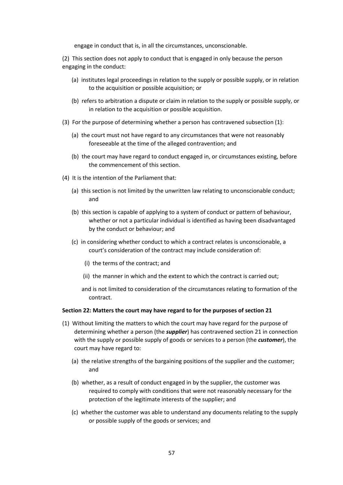engage in conduct that is, in all the circumstances, unconscionable.

(2) This section does not apply to conduct that is engaged in only because the person engaging in the conduct:

- (a) institutes legal proceedings in relation to the supply or possible supply, or in relation to the acquisition or possible acquisition; or
- (b) refers to arbitration a dispute or claim in relation to the supply or possible supply, or in relation to the acquisition or possible acquisition.
- (3) For the purpose of determining whether a person has contravened subsection (1):
	- (a) the court must not have regard to any circumstances that were not reasonably foreseeable at the time of the alleged contravention; and
	- (b) the court may have regard to conduct engaged in, or circumstances existing, before the commencement of this section.
- (4) It is the intention of the Parliament that:
	- (a) this section is not limited by the unwritten law relating to unconscionable conduct; and
	- (b) this section is capable of applying to a system of conduct or pattern of behaviour, whether or not a particular individual is identified as having been disadvantaged by the conduct or behaviour; and
	- (c) in considering whether conduct to which a contract relates is unconscionable, a court's consideration of the contract may include consideration of:
		- (i) the terms of the contract; and
		- (ii) the manner in which and the extent to which the contract is carried out;
		- and is not limited to consideration of the circumstances relating to formation of the contract.

#### **Section 22: Matters the court may have regard to for the purposes of section 21**

- (1) Without limiting the matters to which the court may have regard for the purpose of determining whether a person (the *supplier*) has contravened section 21 in connection with the supply or possible supply of goods or services to a person (the *customer*), the court may have regard to:
	- (a) the relative strengths of the bargaining positions of the supplier and the customer; and
	- (b) whether, as a result of conduct engaged in by the supplier, the customer was required to comply with conditions that were not reasonably necessary for the protection of the legitimate interests of the supplier; and
	- (c) whether the customer was able to understand any documents relating to the supply or possible supply of the goods or services; and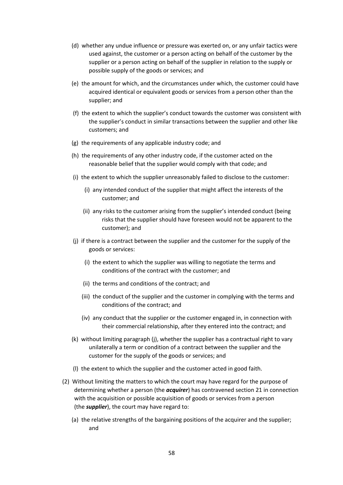- (d) whether any undue influence or pressure was exerted on, or any unfair tactics were used against, the customer or a person acting on behalf of the customer by the supplier or a person acting on behalf of the supplier in relation to the supply or possible supply of the goods or services; and
- (e) the amount for which, and the circumstances under which, the customer could have acquired identical or equivalent goods or services from a person other than the supplier; and
- (f) the extent to which the supplier's conduct towards the customer was consistent with the supplier's conduct in similar transactions between the supplier and other like customers; and
- (g) the requirements of any applicable industry code; and
- (h) the requirements of any other industry code, if the customer acted on the reasonable belief that the supplier would comply with that code; and
- (i) the extent to which the supplier unreasonably failed to disclose to the customer:
	- (i) any intended conduct of the supplier that might affect the interests of the customer; and
	- (ii) any risks to the customer arising from the supplier's intended conduct (being risks that the supplier should have foreseen would not be apparent to the customer); and
- (j) if there is a contract between the supplier and the customer for the supply of the goods or services:
	- (i) the extent to which the supplier was willing to negotiate the terms and conditions of the contract with the customer; and
	- (ii) the terms and conditions of the contract; and
	- (iii) the conduct of the supplier and the customer in complying with the terms and conditions of the contract; and
	- (iv) any conduct that the supplier or the customer engaged in, in connection with their commercial relationship, after they entered into the contract; and
- (k) without limiting paragraph (j), whether the supplier has a contractual right to vary unilaterally a term or condition of a contract between the supplier and the customer for the supply of the goods or services; and
- (l) the extent to which the supplier and the customer acted in good faith.
- (2) Without limiting the matters to which the court may have regard for the purpose of determining whether a person (the *acquirer*) has contravened section 21 in connection with the acquisition or possible acquisition of goods or services from a person (the *supplier*), the court may have regard to:
	- (a) the relative strengths of the bargaining positions of the acquirer and the supplier; and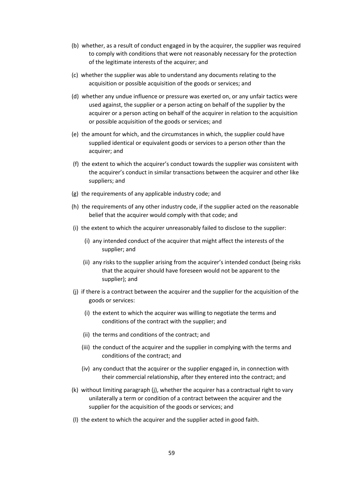- (b) whether, as a result of conduct engaged in by the acquirer, the supplier was required to comply with conditions that were not reasonably necessary for the protection of the legitimate interests of the acquirer; and
- (c) whether the supplier was able to understand any documents relating to the acquisition or possible acquisition of the goods or services; and
- (d) whether any undue influence or pressure was exerted on, or any unfair tactics were used against, the supplier or a person acting on behalf of the supplier by the acquirer or a person acting on behalf of the acquirer in relation to the acquisition or possible acquisition of the goods or services; and
- (e) the amount for which, and the circumstances in which, the supplier could have supplied identical or equivalent goods or services to a person other than the acquirer; and
- (f) the extent to which the acquirer's conduct towards the supplier was consistent with the acquirer's conduct in similar transactions between the acquirer and other like suppliers; and
- (g) the requirements of any applicable industry code; and
- (h) the requirements of any other industry code, if the supplier acted on the reasonable belief that the acquirer would comply with that code; and
- (i) the extent to which the acquirer unreasonably failed to disclose to the supplier:
	- (i) any intended conduct of the acquirer that might affect the interests of the supplier; and
	- (ii) any risks to the supplier arising from the acquirer's intended conduct (being risks that the acquirer should have foreseen would not be apparent to the supplier); and
- (j) if there is a contract between the acquirer and the supplier for the acquisition of the goods or services:
	- (i) the extent to which the acquirer was willing to negotiate the terms and conditions of the contract with the supplier; and
	- (ii) the terms and conditions of the contract; and
	- (iii) the conduct of the acquirer and the supplier in complying with the terms and conditions of the contract; and
	- (iv) any conduct that the acquirer or the supplier engaged in, in connection with their commercial relationship, after they entered into the contract; and
- (k) without limiting paragraph (j), whether the acquirer has a contractual right to vary unilaterally a term or condition of a contract between the acquirer and the supplier for the acquisition of the goods or services; and
- (l) the extent to which the acquirer and the supplier acted in good faith.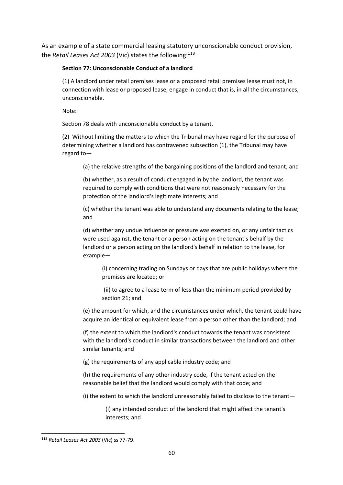As an example of a state commercial leasing statutory unconscionable conduct provision, the *Retail Leases Act 2003* (Vic) states the following:<sup>118</sup>

### **Section 77: Unconscionable Conduct of a landlord**

(1) A landlord under retail premises lease or a proposed retail premises lease must not, in connection with lease or proposed lease, engage in conduct that is, in all the circumstances, unconscionable.

Note:

Section 78 deals with unconscionable conduct by a tenant.

(2) Without limiting the matters to which the Tribunal may have regard for the purpose of determining whether a landlord has contravened subsection (1), the Tribunal may have regard to—

(a) the relative strengths of the bargaining positions of the landlord and tenant; and

(b) whether, as a result of conduct engaged in by the landlord, the tenant was required to comply with conditions that were not reasonably necessary for the protection of the landlord's legitimate interests; and

(c) whether the tenant was able to understand any documents relating to the lease; and

(d) whether any undue influence or pressure was exerted on, or any unfair tactics were used against, the tenant or a person acting on the tenant's behalf by the landlord or a person acting on the landlord's behalf in relation to the lease, for example—

(i) concerning trading on Sundays or days that are public holidays where the premises are located; or

(ii) to agree to a lease term of less than the minimum period provided by section 21; and

(e) the amount for which, and the circumstances under which, the tenant could have acquire an identical or equivalent lease from a person other than the landlord; and

(f) the extent to which the landlord's conduct towards the tenant was consistent with the landlord's conduct in similar transactions between the landlord and other similar tenants; and

(g) the requirements of any applicable industry code; and

(h) the requirements of any other industry code, if the tenant acted on the reasonable belief that the landlord would comply with that code; and

(i) the extent to which the landlord unreasonably failed to disclose to the tenant—

(i) any intended conduct of the landlord that might affect the tenant's interests; and

<sup>118</sup> *Retail Leases Act 2003* (Vic) ss 77-79.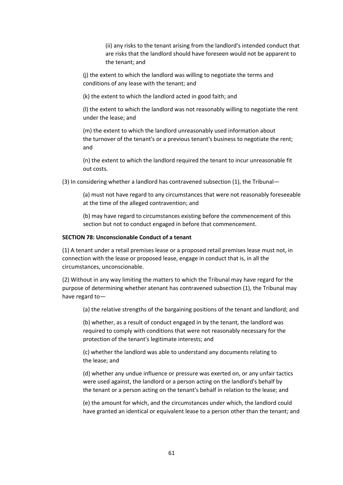(ii) any risks to the tenant arising from the landlord's intended conduct that are risks that the landlord should have foreseen would not be apparent to the tenant; and

(j) the extent to which the landlord was willing to negotiate the terms and conditions of any lease with the tenant; and

(k) the extent to which the landlord acted in good faith; and

(l) the extent to which the landlord was not reasonably willing to negotiate the rent under the lease; and

(m) the extent to which the landlord unreasonably used information about the turnover of the tenant's or a previous tenant's business to negotiate the rent; and

(n) the extent to which the landlord required the tenant to incur unreasonable fit out costs.

(3) In considering whether a landlord has contravened subsection (1), the Tribunal—

(a) must not have regard to any circumstances that were not reasonably foreseeable at the time of the alleged contravention; and

(b) may have regard to circumstances existing before the commencement of this section but not to conduct engaged in before that commencement.

#### **SECTION 78: Unconscionable Conduct of a tenant**

(1) A tenant under a retail premises lease or a proposed retail premises lease must not, in connection with the lease or proposed lease, engage in conduct that is, in all the circumstances, unconscionable.

(2) Without in any way limiting the matters to which the Tribunal may have regard for the purpose of determining whether atenant has contravened subsection (1), the Tribunal may have regard to—

(a) the relative strengths of the bargaining positions of the tenant and landlord; and

(b) whether, as a result of conduct engaged in by the tenant, the landlord was required to comply with conditions that were not reasonably necessary for the protection of the tenant's legitimate interests; and

(c) whether the landlord was able to understand any documents relating to the lease; and

(d) whether any undue influence or pressure was exerted on, or any unfair tactics were used against, the landlord or a person acting on the landlord's behalf by the tenant or a person acting on the tenant's behalf in relation to the lease; and

(e) the amount for which, and the circumstances under which, the landlord could have granted an identical or equivalent lease to a person other than the tenant; and